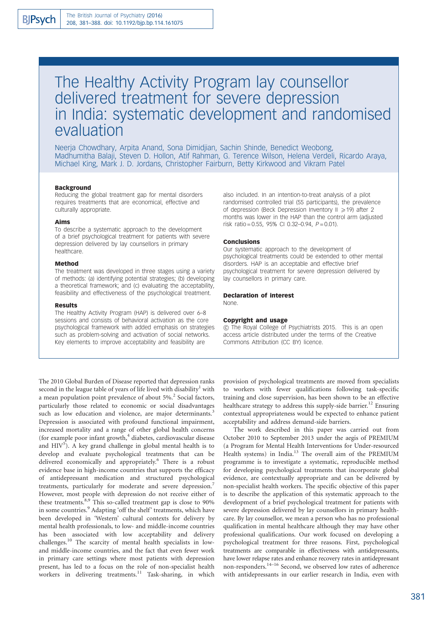# The Healthy Activity Program lay counsellor delivered treatment for severe depression in India: systematic development and randomised evaluation

Neerja Chowdhary, Arpita Anand, Sona Dimidjian, Sachin Shinde, Benedict Weobong, Madhumitha Balaji, Steven D. Hollon, Atif Rahman, G. Terence Wilson, Helena Verdeli, Ricardo Araya, Michael King, Mark J. D. Jordans, Christopher Fairburn, Betty Kirkwood and Vikram Patel

#### Background

Reducing the global treatment gap for mental disorders requires treatments that are economical, effective and culturally appropriate.

#### Aims

To describe a systematic approach to the development of a brief psychological treatment for patients with severe depression delivered by lay counsellors in primary healthcare.

#### Method

The treatment was developed in three stages using a variety of methods: (a) identifying potential strategies; (b) developing a theoretical framework; and (c) evaluating the acceptability, feasibility and effectiveness of the psychological treatment.

#### Results

The Healthy Activity Program (HAP) is delivered over 6–8 sessions and consists of behavioral activation as the core psychological framework with added emphasis on strategies such as problem-solving and activation of social networks. Key elements to improve acceptability and feasibility are

also included. In an intention-to-treat analysis of a pilot randomised controlled trial (55 participants), the prevalence of depression (Beck Depression Inventory II  $\geq$  19) after 2 months was lower in the HAP than the control arm (adjusted risk ratio = 0.55, 95% CI 0.32-0.94,  $P = 0.01$ ).

#### Conclusions

Our systematic approach to the development of psychological treatments could be extended to other mental disorders. HAP is an acceptable and effective brief psychological treatment for severe depression delivered by lay counsellors in primary care.

#### Declaration of interest

None.

#### Copyright and usage

B The Royal College of Psychiatrists 2015. This is an open access article distributed under the terms of the Creative Commons Attribution (CC BY) licence.

The 2010 Global Burden of Disease reported that depression ranks second in the league table of years of life lived with disability<sup>1</sup> with a mean population point prevalence of about 5%.<sup>2</sup> Social factors, particularly those related to economic or social disadvantages such as low education and violence, are major determinants.<sup>3</sup> Depression is associated with profound functional impairment, increased mortality and a range of other global health concerns (for example poor infant growth,<sup>4</sup> diabetes, cardiovascular disease and  $HIV<sup>5</sup>$ ). A key grand challenge in global mental health is to develop and evaluate psychological treatments that can be delivered economically and appropriately.<sup>6</sup> There is a robust evidence base in high-income countries that supports the efficacy of antidepressant medication and structured psychological treatments, particularly for moderate and severe depression.<sup>7</sup> However, most people with depression do not receive either of these treatments.<sup>8,9</sup> This so-called treatment gap is close to 90% in some countries.<sup>9</sup> Adapting 'off the shelf' treatments, which have been developed in 'Western' cultural contexts for delivery by mental health professionals, to low- and middle-income countries has been associated with low acceptability and delivery challenges.<sup>10</sup> The scarcity of mental health specialists in lowand middle-income countries, and the fact that even fewer work in primary care settings where most patients with depression present, has led to a focus on the role of non-specialist health workers in delivering treatments.11 Task-sharing, in which

provision of psychological treatments are moved from specialists to workers with fewer qualifications following task-specific training and close supervision, has been shown to be an effective healthcare strategy to address this supply-side barrier.<sup>12</sup> Ensuring contextual appropriateness would be expected to enhance patient acceptability and address demand-side barriers.

The work described in this paper was carried out from October 2010 to September 2013 under the aegis of PREMIUM (a Program for Mental Health Interventions for Under-resourced Health systems) in India.<sup>13</sup> The overall aim of the PREMIUM programme is to investigate a systematic, reproducible method for developing psychological treatments that incorporate global evidence, are contextually appropriate and can be delivered by non-specialist health workers. The specific objective of this paper is to describe the application of this systematic approach to the development of a brief psychological treatment for patients with severe depression delivered by lay counsellors in primary healthcare. By lay counsellor, we mean a person who has no professional qualification in mental healthcare although they may have other professional qualifications. Our work focused on developing a psychological treatment for three reasons. First, psychological treatments are comparable in effectiveness with antidepressants, have lower relapse rates and enhance recovery rates in antidepressant non-responders.14–16 Second, we observed low rates of adherence with antidepressants in our earlier research in India, even with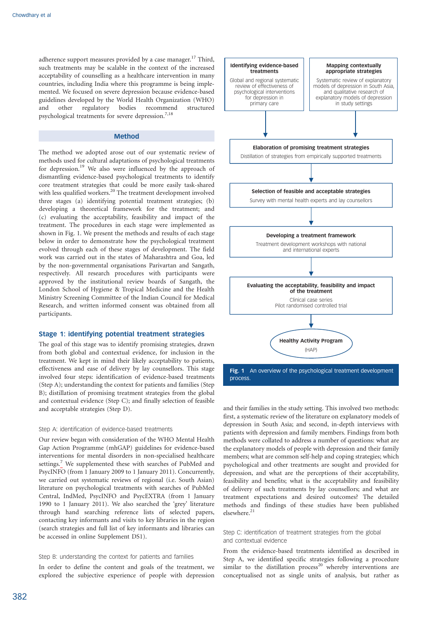adherence support measures provided by a case manager.<sup>17</sup> Third, such treatments may be scalable in the context of the increased acceptability of counselling as a healthcare intervention in many countries, including India where this programme is being implemented. We focused on severe depression because evidence-based guidelines developed by the World Health Organization (WHO) and other regulatory bodies recommend structured psychological treatments for severe depression.7,18

#### Method

The method we adopted arose out of our systematic review of methods used for cultural adaptations of psychological treatments for depression.<sup>19</sup> We also were influenced by the approach of dismantling evidence-based psychological treatments to identify core treatment strategies that could be more easily task-shared with less qualified workers.<sup>20</sup> The treatment development involved three stages (a) identifying potential treatment strategies; (b) developing a theoretical framework for the treatment; and (c) evaluating the acceptability, feasibility and impact of the treatment. The procedures in each stage were implemented as shown in Fig. 1. We present the methods and results of each stage below in order to demonstrate how the psychological treatment evolved through each of these stages of development. The field work was carried out in the states of Maharashtra and Goa, led by the non-governmental organisations Parivartan and Sangath, respectively. All research procedures with participants were approved by the institutional review boards of Sangath, the London School of Hygiene & Tropical Medicine and the Health Ministry Screening Committee of the Indian Council for Medical Research, and written informed consent was obtained from all participants.

#### Stage 1: identifying potential treatment strategies

The goal of this stage was to identify promising strategies, drawn from both global and contextual evidence, for inclusion in the treatment. We kept in mind their likely acceptability to patients, effectiveness and ease of delivery by lay counsellors. This stage involved four steps: identification of evidence-based treatments (Step A); understanding the context for patients and families (Step B); distillation of promising treatment strategies from the global and contextual evidence (Step C); and finally selection of feasible and acceptable strategies (Step D).

#### Step A: identification of evidence-based treatments

Our review began with consideration of the WHO Mental Health Gap Action Programme (mhGAP) guidelines for evidence-based interventions for mental disorders in non-specialised healthcare settings.<sup>7</sup> We supplemented these with searches of PubMed and PsycINFO (from 1 January 2009 to 1 January 2011). Concurrently, we carried out systematic reviews of regional (i.e. South Asian) literature on psychological treatments with searches of PubMed Central, IndMed, PsycINFO and PsycEXTRA (from 1 January 1990 to 1 January 2011). We also searched the 'grey' literature through hand searching reference lists of selected papers, contacting key informants and visits to key libraries in the region (search strategies and full list of key informants and libraries can be accessed in online Supplement DS1).

#### Step B: understanding the context for patients and families

In order to define the content and goals of the treatment, we explored the subjective experience of people with depression



Fig. 1 An overview of the psychological treatment development process.

and their families in the study setting. This involved two methods: first, a systematic review of the literature on explanatory models of depression in South Asia; and second, in-depth interviews with patients with depression and family members. Findings from both methods were collated to address a number of questions: what are the explanatory models of people with depression and their family members; what are common self-help and coping strategies; which psychological and other treatments are sought and provided for depression, and what are the perceptions of their acceptability, feasibility and benefits; what is the acceptability and feasibility of delivery of such treatments by lay counsellors; and what are treatment expectations and desired outcomes? The detailed methods and findings of these studies have been published elsewhere.<sup>21</sup>

#### Step C: identification of treatment strategies from the global and contextual evidence

From the evidence-based treatments identified as described in Step A, we identified specific strategies following a procedure similar to the distillation process<sup>20</sup> whereby interventions are conceptualised not as single units of analysis, but rather as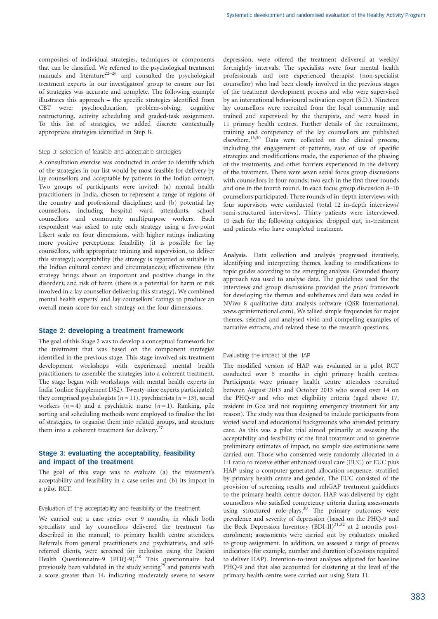composites of individual strategies, techniques or components that can be classified. We referred to the psychological treatment manuals and literature<sup>22-26</sup> and consulted the psychological treatment experts in our investigators' group to ensure our list of strategies was accurate and complete. The following example illustrates this approach – the specific strategies identified from CBT were: psychoeducation, problem-solving, cognitive restructuring, activity scheduling and graded-task assignment. To this list of strategies, we added discrete contextually appropriate strategies identified in Step B.

#### Step D: selection of feasible and acceptable strategies

A consultation exercise was conducted in order to identify which of the strategies in our list would be most feasible for delivery by lay counsellors and acceptable by patients in the Indian context. Two groups of participants were invited: (a) mental health practitioners in India, chosen to represent a range of regions of the country and professional disciplines; and (b) potential lay counsellors, including hospital ward attendants, school counsellors and community multipurpose workers. Each respondent was asked to rate each strategy using a five-point Likert scale on four dimensions, with higher ratings indicating more positive perceptions: feasibility (it is possible for lay counsellors, with appropriate training and supervision, to deliver this strategy); acceptability (the strategy is regarded as suitable in the Indian cultural context and circumstances); effectiveness (the strategy brings about an important and positive change in the disorder); and risk of harm (there is a potential for harm or risk involved in a lay counsellor delivering this strategy). We combined mental health experts' and lay counsellors' ratings to produce an overall mean score for each strategy on the four dimensions.

#### Stage 2: developing a treatment framework

The goal of this Stage 2 was to develop a conceptual framework for the treatment that was based on the component strategies identified in the previous stage. This stage involved six treatment development workshops with experienced mental health practitioners to assemble the strategies into a coherent treatment. The stage began with workshops with mental health experts in India (online Supplement DS2). Twenty-nine experts participated; they comprised psychologists ( $n = 11$ ), psychiatrists ( $n = 13$ ), social workers ( $n = 4$ ) and a psychiatric nurse ( $n = 1$ ). Ranking, pile sorting and scheduling methods were employed to finalise the list of strategies, to organise them into related groups, and structure them into a coherent treatment for delivery.<sup>27</sup>

#### Stage 3: evaluating the acceptability, feasibility and impact of the treatment

The goal of this stage was to evaluate (a) the treatment's acceptability and feasibility in a case series and (b) its impact in a pilot RCT.

#### Evaluation of the acceptability and feasibility of the treatment

We carried out a case series over 9 months, in which both specialists and lay counsellors delivered the treatment (as described in the manual) to primary health centre attendees. Referrals from general practitioners and psychiatrists, and selfreferred clients, were screened for inclusion using the Patient Health Questionnaire-9 (PHQ-9).<sup>28</sup> This questionnaire had previously been validated in the study setting<sup>29</sup> and patients with a score greater than 14, indicating moderately severe to severe depression, were offered the treatment delivered at weekly/ fortnightly intervals. The specialists were four mental health professionals and one experienced therapist (non-specialist counsellor) who had been closely involved in the previous stages of the treatment development process and who were supervised by an international behavioural activation expert (S.D.). Nineteen lay counsellors were recruited from the local community and trained and supervised by the therapists, and were based in 11 primary health centres. Further details of the recruitment, training and competency of the lay counsellors are published elsewhere.13,30 Data were collected on the clinical process, including the engagement of patients, ease of use of specific strategies and modifications made, the experience of the phasing of the treatments, and other barriers experienced in the delivery of the treatment. There were seven serial focus group discussions with counsellors in four rounds; two each in the first three rounds and one in the fourth round. In each focus group discussion 8–10 counsellors participated. Three rounds of in-depth interviews with four supervisors were conducted (total 12 in-depth interviews/ semi-structured interviews). Thirty patients were interviewed, 10 each for the following categories: dropped out, in-treatment and patients who have completed treatment.

Analysis. Data collection and analysis progressed iteratively, identifying and interpreting themes, leading to modifications to topic guides according to the emerging analysis. Grounded theory approach was used to analyse data. The guidelines used for the interviews and group discussions provided the priori framework for developing the themes and subthemes and data was coded in NVivo 8 qualitative data analysis software (QSR International, www.qsrinternational.com). We tallied simple frequencies for major themes, selected and analysed vivid and compelling examples of narrative extracts, and related these to the research questions.

#### Evaluating the impact of the HAP

The modified version of HAP was evaluated in a pilot RCT conducted over 5 months in eight primary health centres. Participants were primary health centre attendees recruited between August 2013 and October 2013 who scored over 14 on the PHQ-9 and who met eligibility criteria (aged above 17, resident in Goa and not requiring emergency treatment for any reason). The study was thus designed to include participants from varied social and educational backgrounds who attended primary care. As this was a pilot trial aimed primarily at assessing the acceptability and feasibility of the final treatment and to generate preliminary estimates of impact, no sample size estimations were carried out. Those who consented were randomly allocated in a 1:1 ratio to receive either enhanced usual care (EUC) or EUC plus HAP using a computer-generated allocation sequence, stratified by primary health centre and gender. The EUC consisted of the provision of screening results and mhGAP treatment guidelines to the primary health centre doctor. HAP was delivered by eight counsellors who satisfied competency criteria during assessments using structured role-plays. $^{30}$  The primary outcomes were prevalence and severity of depression (based on the PHQ-9 and the Beck Depression Inventory  $(BDI-II)^{31,32}$  at 2 months postenrolment; assessments were carried out by evaluators masked to group assignment. In addition, we assessed a range of process indicators (for example, number and duration of sessions required to deliver HAP). Intention-to-treat analyses adjusted for baseline PHQ-9 and that also accounted for clustering at the level of the primary health centre were carried out using Stata 11.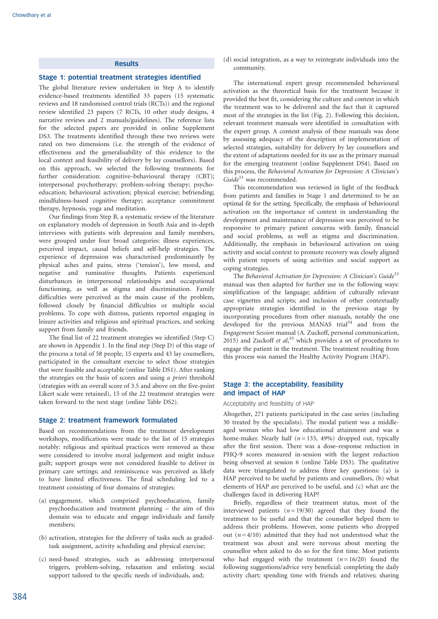#### Results

#### Stage 1: potential treatment strategies identified

The global literature review undertaken in Step A to identify evidence-based treatments identified 33 papers (15 systematic reviews and 18 randomised control trials (RCTs)) and the regional review identified 23 papers (7 RCTs, 10 other study designs, 4 narrative reviews and 2 manuals/guidelines). The reference lists for the selected papers are provided in online Supplement DS3. The treatments identified through these two reviews were rated on two dimensions (i.e. the strength of the evidence of effectiveness and the generalisability of this evidence to the local context and feasibility of delivery by lay counsellors). Based on this approach, we selected the following treatments for further consideration: cognitive–behavioural therapy (CBT); interpersonal psychotherapy; problem-solving therapy; psychoeducation; behavioural activation; physical exercise; befriending; mindfulness-based cognitive therapy; acceptance commitment therapy, hypnosis, yoga and meditation.

Our findings from Step B, a systematic review of the literature on explanatory models of depression in South Asia and in-depth interviews with patients with depression and family members, were grouped under four broad categories: illness experiences, perceived impact, causal beliefs and self-help strategies. The experience of depression was characterised predominantly by physical aches and pains, stress ('tension'), low mood, and negative and ruminative thoughts. Patients experienced disturbances in interpersonal relationships and occupational functioning, as well as stigma and discrimination. Family difficulties were perceived as the main cause of the problem, followed closely by financial difficulties or multiple social problems. To cope with distress, patients reported engaging in leisure activities and religious and spiritual practices, and seeking support from family and friends.

The final list of 22 treatment strategies we identified (Step C) are shown in Appendix 1. In the final step (Step D) of this stage of the process a total of 58 people, 15 experts and 43 lay counsellors, participated in the consultant exercise to select those strategies that were feasible and acceptable (online Table DS1). After ranking the strategies on the basis of scores and using a priori threshold (strategies with an overall score of 3.5 and above on the five-point Likert scale were retained), 15 of the 22 treatment strategies were taken forward to the next stage (online Table DS2).

#### Stage 2: treatment framework formulated

Based on recommendations from the treatment development workshops, modifications were made to the list of 15 strategies notably: religious and spiritual practices were removed as these were considered to involve moral judgement and might induce guilt; support groups were not considered feasible to deliver in primary care settings; and reminiscence was perceived as likely to have limited effectiveness. The final scheduling led to a treatment consisting of four domains of strategies:

- (a) engagement, which comprised psychoeducation, family psychoeducation and treatment planning – the aim of this domain was to educate and engage individuals and family members;
- (b) activation, strategies for the delivery of tasks such as gradedtask assignment, activity scheduling and physical exercise;
- (c) need-based strategies, such as addressing interpersonal triggers, problem-solving, relaxation and enlisting social support tailored to the specific needs of individuals, and;

(d) social integration, as a way to reintegrate individuals into the community.

The international expert group recommended behavioural activation as the theoretical basis for the treatment because it provided the best fit, considering the culture and context in which the treatment was to be delivered and the fact that it captured most of the strategies in the list (Fig. 2). Following this decision, relevant treatment manuals were identified in consultation with the expert group. A content analysis of these manuals was done by assessing adequacy of the description of implementation of selected strategies, suitability for delivery by lay counsellors and the extent of adaptations needed for its use as the primary manual for the emerging treatment (online Supplement DS4). Based on this process, the Behavioral Activation for Depression: A Clinician's  $Guide<sup>33</sup>$  was recommended.

This recommendation was reviewed in light of the feedback from patients and families in Stage 1 and determined to be an optimal fit for the setting. Specifically, the emphasis of behavioural activation on the importance of context in understanding the development and maintenance of depression was perceived to be responsive to primary patient concerns with family, financial and social problems, as well as stigma and discrimination. Additionally, the emphasis in behavioural activation on using activity and social context to promote recovery was closely aligned with patient reports of using activities and social support as coping strategies.

The Behavioral Activation for Depression: A Clinician's Guide<sup>33</sup> manual was then adapted for further use in the following ways: simplification of the language; addition of culturally relevant case vignettes and scripts; and inclusion of other contextually appropriate strategies identified in the previous stage by incorporating procedures from other manuals, notably the one developed for the previous MANAS trial<sup>34</sup> and from the Engagement Session manual (A. Zuckoff, personal communication,  $2015$ ) and Zuckoff et al,<sup>35</sup> which provides a set of procedures to engage the patient in the treatment. The treatment resulting from this process was named the Healthy Activity Program (HAP).

#### Stage 3: the acceptability, feasibility and impact of HAP

Acceptability and feasibility of HAP

Altogether, 271 patients participated in the case series (including 30 treated by the specialists). The modal patient was a middleaged woman who had low educational attainment and was a home-maker. Nearly half ( $n = 133$ , 49%) dropped out, typically after the first session. There was a dose–response reduction in PHQ-9 scores measured in-session with the largest reduction being observed at session 6 (online Table DS3). The qualitative data were triangulated to address three key questions: (a) is HAP perceived to be useful by patients and counsellors, (b) what elements of HAP are perceived to be useful, and (c) what are the challenges faced in delivering HAP?

Briefly, regardless of their treatment status, most of the interviewed patients  $(n = 19/30)$  agreed that they found the treatment to be useful and that the counsellor helped them to address their problems. However, some patients who dropped out  $(n = 4/10)$  admitted that they had not understood what the treatment was about and were nervous about meeting the counsellor when asked to do so for the first time. Most patients who had engaged with the treatment  $(n = 16/20)$  found the following suggestions/advice very beneficial: completing the daily activity chart; spending time with friends and relatives; sharing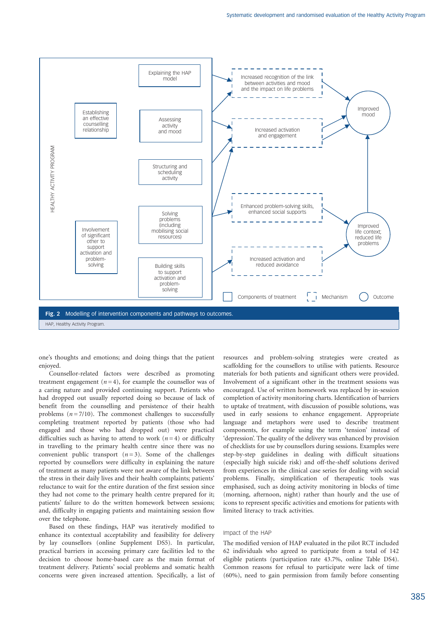

one's thoughts and emotions; and doing things that the patient enjoyed.

Counsellor-related factors were described as promoting treatment engagement  $(n=4)$ , for example the counsellor was of a caring nature and provided continuing support. Patients who had dropped out usually reported doing so because of lack of benefit from the counselling and persistence of their health problems  $(n = 7/10)$ . The commonest challenges to successfully completing treatment reported by patients (those who had engaged and those who had dropped out) were practical difficulties such as having to attend to work  $(n=4)$  or difficulty in travelling to the primary health centre since there was no convenient public transport  $(n=3)$ . Some of the challenges reported by counsellors were difficulty in explaining the nature of treatment as many patients were not aware of the link between the stress in their daily lives and their health complaints; patients' reluctance to wait for the entire duration of the first session since they had not come to the primary health centre prepared for it; patients' failure to do the written homework between sessions; and, difficulty in engaging patients and maintaining session flow over the telephone.

Based on these findings, HAP was iteratively modified to enhance its contextual acceptability and feasibility for delivery by lay counsellors (online Supplement DS5). In particular, practical barriers in accessing primary care facilities led to the decision to choose home-based care as the main format of treatment delivery. Patients' social problems and somatic health concerns were given increased attention. Specifically, a list of

resources and problem-solving strategies were created as scaffolding for the counsellors to utilise with patients. Resource materials for both patients and significant others were provided. Involvement of a significant other in the treatment sessions was encouraged. Use of written homework was replaced by in-session completion of activity monitoring charts. Identification of barriers to uptake of treatment, with discussion of possible solutions, was used in early sessions to enhance engagement. Appropriate language and metaphors were used to describe treatment components, for example using the term 'tension' instead of 'depression'. The quality of the delivery was enhanced by provision of checklists for use by counsellors during sessions. Examples were step-by-step guidelines in dealing with difficult situations (especially high suicide risk) and off-the-shelf solutions derived from experiences in the clinical case series for dealing with social problems. Finally, simplification of therapeutic tools was emphasised, such as doing activity monitoring in blocks of time (morning, afternoon, night) rather than hourly and the use of icons to represent specific activities and emotions for patients with limited literacy to track activities.

#### Impact of the HAP

The modified version of HAP evaluated in the pilot RCT included 62 individuals who agreed to participate from a total of 142 eligible patients (participation rate 43.7%, online Table DS4). Common reasons for refusal to participate were lack of time (60%), need to gain permission from family before consenting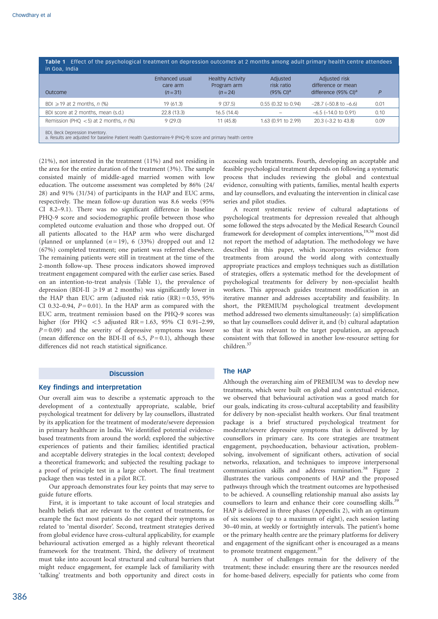| in Goa, India<br>Outcome                                                                                                                       | Enhanced usual<br>care arm<br>$(n=31)$ | <b>Healthy Activity</b><br>Program arm<br>$(n=24)$ | Adjusted<br>risk ratio<br>$(95\% \text{ Cl})^a$ | Adjusted risk<br>difference or mean<br>difference (95% CI) <sup>a</sup> | P    |  |
|------------------------------------------------------------------------------------------------------------------------------------------------|----------------------------------------|----------------------------------------------------|-------------------------------------------------|-------------------------------------------------------------------------|------|--|
| BDI $\geq 19$ at 2 months, n (%)                                                                                                               | 19 (61.3)                              | 9(37.5)                                            | $0.55$ (0.32 to 0.94)                           | $-28.7$ ( $-50.8$ to $-6.6$ )                                           | 0.01 |  |
| BDI score at 2 months, mean (s.d.)                                                                                                             | 22.8 (13.3)                            | 16.5(14.4)                                         |                                                 | $-6.5$ ( $-14.0$ to 0.91)                                               | 0.10 |  |
| Remission (PHQ $<$ 5) at 2 months, n (%)                                                                                                       | 9(29.0)                                | 11(45.8)                                           | 1.63 (0.91 to 2.99)                             | $20.3$ (-3.2 to 43.8)                                                   | 0.09 |  |
| BDI, Beck Depression Inventory.<br>a. Results are adiusted for baseline Patient Health Ouestionnaire-9 (PHO-9) score and primary health centre |                                        |                                                    |                                                 |                                                                         |      |  |

(21%), not interested in the treatment (11%) and not residing in the area for the entire duration of the treatment (3%). The sample consisted mainly of middle-aged married women with low education. The outcome assessment was completed by 86% (24/ 28) and 91% (31/34) of participants in the HAP and EUC arms, respectively. The mean follow-up duration was 8.6 weeks (95% CI 8.2–9.1). There was no significant difference in baseline PHQ-9 score and sociodemographic profile between those who completed outcome evaluation and those who dropped out. Of all patients allocated to the HAP arm who were discharged (planned or unplanned  $(n=19)$ , 6 (33%) dropped out and 12 (67%) completed treatment; one patient was referred elsewhere. The remaining patients were still in treatment at the time of the 2-month follow-up. These process indicators showed improved treatment engagement compared with the earlier case series. Based on an intention-to-treat analysis (Table 1), the prevalence of depression (BDI-II  $\geq$  19 at 2 months) was significantly lower in the HAP than EUC arm (adjusted risk ratio  $(RR) = 0.55$ , 95% CI 0.32–0.94,  $P = 0.01$ ). In the HAP arm as compared with the EUC arm, treatment remission based on the PHQ-9 scores was higher (for PHQ  $<$  5 adjusted RR = 1.63, 95% CI 0.91-2.99,  $P = 0.09$ ) and the severity of depressive symptoms was lower (mean difference on the BDI-II of 6.5,  $P = 0.1$ ), although these differences did not reach statistical significance.

#### **Discussion**

#### Key findings and interpretation

Our overall aim was to describe a systematic approach to the development of a contextually appropriate, scalable, brief psychological treatment for delivery by lay counsellors, illustrated by its application for the treatment of moderate/severe depression in primary healthcare in India. We identified potential evidencebased treatments from around the world; explored the subjective experiences of patients and their families; identified practical and acceptable delivery strategies in the local context; developed a theoretical framework; and subjected the resulting package to a proof of principle test in a large cohort. The final treatment package then was tested in a pilot RCT.

Our approach demonstrates four key points that may serve to guide future efforts.

First, it is important to take account of local strategies and health beliefs that are relevant to the context of treatments, for example the fact most patients do not regard their symptoms as related to 'mental disorder'. Second, treatment strategies derived from global evidence have cross-cultural applicability, for example behavioural activation emerged as a highly relevant theoretical framework for the treatment. Third, the delivery of treatment must take into account local structural and cultural barriers that might reduce engagement, for example lack of familiarity with 'talking' treatments and both opportunity and direct costs in accessing such treatments. Fourth, developing an acceptable and feasible psychological treatment depends on following a systematic process that includes reviewing the global and contextual evidence, consulting with patients, families, mental health experts and lay counsellors, and evaluating the intervention in clinical case series and pilot studies.

A recent systematic review of cultural adaptations of psychological treatments for depression revealed that although some followed the steps advocated by the Medical Research Council framework for development of complex interventions,<sup>19,36</sup> most did not report the method of adaptation. The methodology we have described in this paper, which incorporates evidence from treatments from around the world along with contextually appropriate practices and employs techniques such as distillation of strategies, offers a systematic method for the development of psychological treatments for delivery by non-specialist health workers. This approach guides treatment modification in an iterative manner and addresses acceptability and feasibility. In short, the PREMIUM psychological treatment development method addressed two elements simultaneously: (a) simplification so that lay counsellors could deliver it, and (b) cultural adaptation so that it was relevant to the target population, an approach consistent with that followed in another low-resource setting for children.37

#### The HAP

Although the overarching aim of PREMIUM was to develop new treatments, which were built on global and contextual evidence, we observed that behavioural activation was a good match for our goals, indicating its cross-cultural acceptability and feasibility for delivery by non-specialist health workers. Our final treatment package is a brief structured psychological treatment for moderate/severe depressive symptoms that is delivered by lay counsellors in primary care. Its core strategies are treatment engagement, psychoeducation, behaviour activation, problemsolving, involvement of significant others, activation of social networks, relaxation, and techniques to improve interpersonal communication skills and address rumination.<sup>38</sup> Figure 2 illustrates the various components of HAP and the proposed pathways through which the treatment outcomes are hypothesised to be achieved. A counselling relationship manual also assists lay counsellors to learn and enhance their core counselling skills.<sup>39</sup> HAP is delivered in three phases (Appendix 2), with an optimum of six sessions (up to a maximum of eight), each session lasting 30–40 min, at weekly or fortnightly intervals. The patient's home or the primary health centre are the primary platforms for delivery and engagement of the significant other is encouraged as a means to promote treatment engagement.<sup>39</sup>

A number of challenges remain for the delivery of the treatment; these include: ensuring there are the resources needed for home-based delivery, especially for patients who come from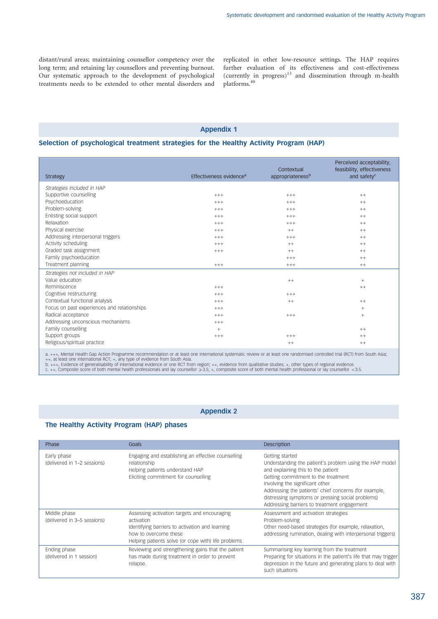distant/rural areas; maintaining counsellor competency over the long term; and retaining lay counsellors and preventing burnout. Our systematic approach to the development of psychological treatments needs to be extended to other mental disorders and replicated in other low-resource settings. The HAP requires further evaluation of its effectiveness and cost-effectiveness  $(currenty in progress)<sup>13</sup>$  and dissemination through m-health platforms.<sup>40</sup>

### Appendix 1

#### Selection of psychological treatment strategies for the Healthy Activity Program (HAP)

| <b>Strategy</b>                             | Effectiveness evidence <sup>a</sup> | Contextual<br>appropriateness <sup>b</sup> | Perceived acceptability,<br>feasibility, effectiveness<br>and safety <sup>c</sup> |
|---------------------------------------------|-------------------------------------|--------------------------------------------|-----------------------------------------------------------------------------------|
| Strategies included in HAP                  |                                     |                                            |                                                                                   |
| Supportive counselling                      | $+++$                               | $^{+++}$                                   | $++$                                                                              |
| Psychoeducation                             | $+++$                               | $^{+++}$                                   | $++$                                                                              |
| Problem-solving                             | $+++$                               | $+++$                                      | $++$                                                                              |
| Enlisting social support                    | $+++$                               | $+++$                                      | $++$                                                                              |
| Relaxation                                  | $+++$                               | $^{+++}$                                   | $++$                                                                              |
| Physical exercise                           | $+++$                               | $++$                                       | $++$                                                                              |
| Addressing interpersonal triggers           | $+++$                               | $+++$                                      | $++$                                                                              |
| Activity scheduling                         | $+++$                               | $++$                                       | $++$                                                                              |
| Graded task assignment                      | $+++$                               | $++$                                       | $++$                                                                              |
| Family psychoeducation                      |                                     | $+++$                                      | $++$                                                                              |
| Treatment planning                          | $+++$                               | $+++$                                      | $++$                                                                              |
| Strategies not included in HAP              |                                     |                                            |                                                                                   |
| Value education                             |                                     | $++$                                       | $+$                                                                               |
| Reminiscence                                | $+++$                               |                                            | $++$                                                                              |
| Cognitive restructuring                     | $+++$                               | $+++$                                      |                                                                                   |
| Contextual functional analysis              | $+++$                               | $++$                                       | $++$                                                                              |
| Focus on past experiences and relationships | $+++$                               |                                            | $^{+}$                                                                            |
| Radical acceptance                          | $+++$                               | $+++$                                      | $^{+}$                                                                            |
| Addressing unconscious mechanisms           | $+++$                               |                                            |                                                                                   |
| Family counselling                          | $+$                                 |                                            | $++$                                                                              |
| Support groups                              | $+++$                               | $+++$                                      | $++$                                                                              |
| Religious/spiritual practice                |                                     | $^{++}$                                    | $++$                                                                              |
|                                             |                                     |                                            |                                                                                   |

a. +++, Mental Health Gap Action Programme recommendation or at least one international systematic review or at least one randomised controlled trial (RCT) from South Asia;<br>b. +++, Evidence of generalisability of internat

#### Appendix 2

#### The Healthy Activity Program (HAP) phases

| Phase                                       | Goals                                                                                                                                                                                         | <b>Description</b>                                                                                                                                                                                                                                                                                                                                      |
|---------------------------------------------|-----------------------------------------------------------------------------------------------------------------------------------------------------------------------------------------------|---------------------------------------------------------------------------------------------------------------------------------------------------------------------------------------------------------------------------------------------------------------------------------------------------------------------------------------------------------|
| Early phase<br>(delivered in 1-2 sessions)  | Engaging and establishing an effective counselling<br>relationship<br>Helping patients understand HAP<br>Eliciting commitment for counselling                                                 | Getting started<br>Understanding the patient's problem using the HAP model<br>and explaining this to the patient<br>Getting commitment to the treatment<br>Involving the significant other<br>Addressing the patients' chief concerns (for example,<br>distressing symptoms or pressing social problems)<br>Addressing barriers to treatment engagement |
| Middle phase<br>(delivered in 3-5 sessions) | Assessing activation targets and encouraging<br>activation<br>Identifying barriers to activation and learning<br>how to overcome these<br>Helping patients solve (or cope with) life problems | Assessment and activation strategies<br>Problem-solving<br>Other need-based strategies (for example, relaxation,<br>addressing rumination, dealing with interpersonal triggers)                                                                                                                                                                         |
| Ending phase<br>(delivered in 1 session)    | Reviewing and strengthening gains that the patient<br>has made during treatment in order to prevent<br>relapse.                                                                               | Summarising key learning from the treatment<br>Preparing for situations in the patient's life that may trigger<br>depression in the future and generating plans to deal with<br>such situations                                                                                                                                                         |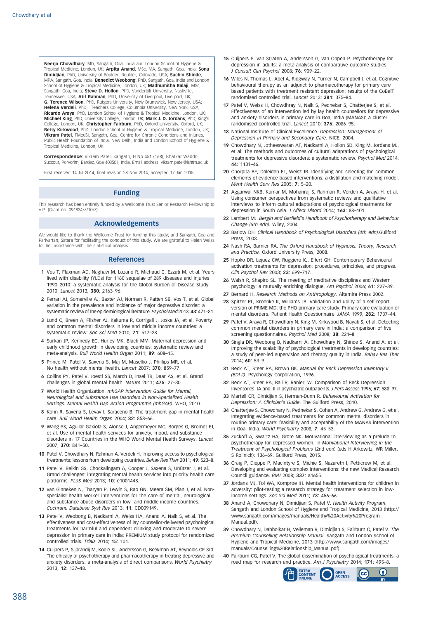Neerja Chowdhary, MD, Sangath, Goa, India and London School of Hygiene & Tropical Medicine, London, UK; **Arpita Anand**, MSc, MA, Sangath, Goa, India; **Sona**<br>**Dimidjian**, PhD, University of Boulder, Boulder, Colorado, USA; **Sachin Shinde**, MPA, Sangath, Goa, India; **Benedict Weobong**, PhD, Sangath, Goa, India and London School of Hygiene & Tropical Medicine, London, UK; **Madhumitha Balaji**, MSc,<br>Sangath, Goa, India; **Steve D. Hollon**, PhD, Vanderbilt University, Nashville, Tennessee, USA; Atif Rahman, PhD, University of Liverpool, Liverpool, UK; **G. Terence Wilson**, PhD, Rutgers University, New Brunswick, New Jersey, USA; Helena Verdeli, PhD, Teachers College, Columbia University, New York, USA; Ricardo Araya, PhD, London School of Hygiene & Tropical Medicine, London, UK; **Michael King**, PhD, University College, London, UK; **Mark J. D. Jordans**, PhD, King's<br>College, London, UK; **Christopher Fairburn**, PhD, Oxford University, Oxford, UK; Betty Kirkwood, PhD, London School of Hygiene & Tropical Medicine, London, UK; Vikram Patel, FMedSi, Sangath, Goa, Centre for Chronic Conditions and Injuries, Public Health Foundation of India, New Delhi, India and London School of Hygiene & Tropical Medicine, London, UK

Correspondence: Vikram Patel, Sangath, H No 451 (168), Bhatkar Waddo, Succour, Porvorim, Bardez, Goa 403501, India. Email address: vikram.patel@lshtm.ac.uk

First received 14 Jul 2014, final revision 28 Nov 2014, accepted 17 Jan 2015

#### Funding

This research has been entirely funded by a Wellcome Trust Senior Research Fellowship to V.P. (Grant no. 091834/Z/10/Z).

#### Acknowledgements

We would like to thank the Wellcome Trust for funding this study; and Sangath, Goa and Parivartan, Satara for facilitating the conduct of this study. We are grateful to Helen Weiss for her assistance with the statistical analysis.

#### References

- 1 Vos T, Flaxman AD, Naghavi M, Lozano R, Michaud C, Ezzati M, et al. Years lived with disability (YLDs) for 1160 sequelae of 289 diseases and injuries 1990–2010: a systematic analysis for the Global Burden of Disease Study 2010. Lancet 2013; 380: 2163–96.
- 2 Ferrari AJ, Somerville AJ, Baxter AJ, Norman R, Patten SB, Vos T, et al. Global variation in the prevalence and incidence of major depressive disorder: a systematic review of the epidemiological literature. Psychol Med 2013; 43: 471-81.
- 3 Lund C, Breen A, Flisher AJ, Kakuma R, Corrigall J, Joska JA, et al. Poverty and common mental disorders in low and middle income countries: a systematic review. Soc Sci Med 2010; 71: 517–28.
- 4 Surkan JP, Kennedy EC, Hurley MK, Black MM. Maternal depression and early childhood growth in developing countries: systematic review and meta-analysis. Bull World Health Organ 2011; 89: 608–15.
- 5 Prince M, Patel V, Saxena S, Maj M, Maselko J, Phillips MR, et al. No health without mental health. Lancet 2007; 370: 859–77.
- 6 Collins PY, Patel V, Joestl SS, March D, Insel TR, Daar AS, et al. Grand challenges in global mental health. Nature 2011; 475: 27–30.
- 7 World Health Organization. mhGAP Intervention Guide for Mental, Neurological and Substance Use Disorders in Non-Specialized Health Settings. Mental Health Gap Action Programme (mhGAP). WHO, 2010.
- 8 Kohn R, Saxena S, Levav I, Saraceno B. The treatment gap in mental health care. Bull World Health Organ 2004; 82: 858-66.
- 9 Wang PS, Aguilar-Gaxiola S, Alonso J, Angermeyer MC, Borges G, Bromet EJ, et al. Use of mental health services for anxiety, mood, and substance disorders in 17 Countries in the WHO World Mental Health Surveys. Lancet 2007; 370: 841–50.
- 10 Patel V, Chowdhary N, Rahman A, Verdeli H. Improving access to psychological treatments: lessons from developing countries. Behav Res Ther 2011; 49: 523–8.
- 11 Patel V, Belkin GS, Chockalingam A, Cooper J, Saxena S, Unützer J, et al. Grand challenges: integrating mental health services into priority health care platforms. PLoS Med 2013; 10: e1001448.
- 12 van Ginneken N, Tharyan P, Lewin S, Rao GN, Meera SM, Pian J, et al. Nonspecialist health worker interventions for the care of mental, neurological and substance-abuse disorders in low- and middle-income countries. Cochrane Database Syst Rev 2013; 11: CD009149.
- 13 Patel V, Weobong B, Nadkarni A, Weiss HA, Anand A, Naik S, et al. The effectiveness and cost-effectiveness of lay counsellor-delivered psychological treatments for harmful and dependent drinking and moderate to severe depression in primary care in India: PREMIUM study protocol for randomized controlled trials. Trials 2014; 15: 101.
- 14 Cuijpers P, Sijbrandij M, Koole SL, Andersson G, Beekman AT, Reynolds CF 3rd. The efficacy of psychotherapy and pharmacotherapy in treating depressive and anxiety disorders: a meta-analysis of direct comparisons. World Psychiatry 2013; 12: 137–48.
- 15 Cuijpers P, van Straten A, Andersson G, van Oppen P. Psychotherapy for depression in adults: a meta-analysis of comparative outcome studies. J Consult Clin Psychol 2008; 76: 909–22.
- 16 Wiles N, Thomas L, Abel A, Ridgway N, Turner N, Campbell J, et al. Cognitive behavioural therapy as an adjunct to pharmacotherapy for primary care based patients with treatment resistant depression: results of the CoBalT randomised controlled trial. Lancet 2013; 381: 375–84.
- 17 Patel V, Weiss H, Chowdhray N, Naik S, Pednekar S, Chatterjee S, et al. Effectiveness of an intervention led by lay health counsellors for depressive and anxiety disorders in primary care in Goa, India (MANAS): a cluster randomised controlled trial. Lancet 2010; 376: 2086–95.
- 18 National Institute of Clinical Excellence. Depression: Management of Depression in Primary and Secondary Care. NICE, 2004.
- 19 Chowdhary N, Jotheeswaran AT, Nadkarni A, Hollon SD, King M, Jordans MJ, et al. The methods and outcomes of cultural adaptations of psychological treatments for depressive disorders: a systematic review. Psychol Med 2014; 44: 1131–46.
- 20 Chorpita BF, Daleiden EL, Weisz JR. Identifying and selecting the common elements of evidence based interventions: a distillation and matching model. Ment Health Serv Res 2005; 7: 5–20.
- 21 Aggarwal NKB, Kumar M, Mohanraj S, Rahman R, Verdeli A, Araya H, et al. Using consumer perspectives from systematic reviews and qualitative interviews to inform cultural adaptations of psychological treatments for depression in South Asia. J Affect Disord 2014; 163: 88–101.
- 22 Lambert MJ. Bergin and Garfield's Handbook of Psychotherapy and Behaviour Change (5th edn). Wiley, 2004
- 23 Barlow DH. Clinical Handbook of Psychological Disorders (4th edn). Guilford Press, 2008.
- 24 Nash RA, Barnier RA. The Oxford Handbook of Hypnosis. Theory, Research and Practice. Oxford University Press, 2008.
- 25 Hopko DR, Lejuez CW, Ruggiero KJ, Eifert GH. Contemporary Behavioural activation treatments for depression: procedures, principles, and progress. Clin Psychol Rev 2003; 23: 699–717.
- 26 Walsh R, Shapiro SL. The meeting of meditative disciplines and Western psychology: a mutually enriching dialogue. Am Psychol 2006; 61: 227–39.
- 27 Bernard H. Research Methods on Anthropology. Altamira Press 2002. 28 Spitzer RL, Kroenke K, Williams JB. Validation and utility of a self-report version of PRIME-MD: the PHQ primary care study. Primary care evaluation of mental disorders. Patient Health Questionnaire. JAMA 1999; 282: 1737–44.
- 29 Patel V, Araya R, Chowdhary N, King M, Kirkwood B, Nayak S, et al. Detecting common mental disorders in primary care in India: a comparison of five screening questionnaires. Psychol Med 2008; 38: 221–8.
- 30 Singla DR, Weobong B, Nadkarni A, Chowdhary N, Shinde S, Anand A, et al. Improving the scalability of psychological treatments in developing countries: a study of peer-led supervision and therapy quality in India. Behav Res Ther 2014; 60: 53–9.
- 31 Beck AT, Steer RA, Brown GK. Manual for Beck Depression Inventory II (BDI-II). Psychology Corporation, 1996.
- 32 Beck AT, Steer RA, Ball R, Ranieri W. Comparison of Beck Depression Inventories -IA and -II in psychiatric outpatients. J Pers Assess 1996; 67: 588–97.
- 33 Martell CR, Dimidjian S, Herman-Dunn R. Behavioural Activation for Depression: A Clinician's Guide. The Guilford Press, 2010.
- 34 Chatterjee S, Chowdhary N, Pednekar S, Cohen A, Andrew G, Andrew G, et al. Integrating evidence-based treatments for common mental disorders in routine primary care: feasibility and acceptability of the MANAS intervention in Goa, India. World Psychiatry 2008; 7: 45–53.
- 35 Zuckoff A, Swartz HA, Grote NK. Motivational interviewing as a prelude to psychotherapy for depressed women. In Motivational Interviewing in the Treatment of Psychological Problems (2nd edn) (eds H Arkowitz, WR Miller, S Rollnick): 136–69. Guilford Press, 2015.
- 36 Craig P, Dieppe P, Macintyre S, Michie S, Nazareth I, Petticrew M, et al. Developing and evaluating complex interventions: the new Medical Research Council guidance. BMJ 2008; 337: a1655.
- Jordans MJ, Tol WA, Komproe IH. Mental health interventions for children in adversity: pilot-testing a research strategy for treatment selection in lowincome settings. Soc Sci Med 2011; 73: 456–66.
- 38 Anand A, Chowdhary N, Dimidjian S, Patel V. Health Activity Program Sangath and London School of Hygiene and Tropical Medicine, 2013 (http:// www.sangath.com/images/manuals/Healthy%20Activity%20Program\_ Manual.pdf).
- 39 Chowdhary N, Dabholkar H, Velleman R, Dimidjian S, Fairburn C, Patel V. The Premium Counselling Relationship Manual. Sangath and London School of Hygiene and Tropical Medicine, 2013 (http://www.sangath.com/images/ manuals/Counselling%20Relationship\_Manual.pdf).
- 40 Fairburn CG, Patel V. The global dissemination of psychological treatments: a road map for research and practice. Am J Psychiatry 2014; 171: 495–8.

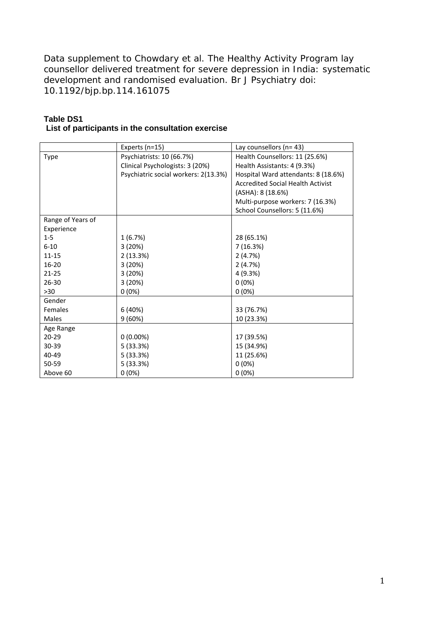Data supplement to Chowdary et al. The Healthy Activity Program lay counsellor delivered treatment for severe depression in India: systematic development and randomised evaluation. Br J Psychiatry doi: 10.1192/bjp.bp.114.161075

## **Table DS1 List of participants in the consultation exercise**

|                   | Experts (n=15)                       | Lay counsellors ( $n = 43$ )             |  |  |
|-------------------|--------------------------------------|------------------------------------------|--|--|
| Type              | Psychiatrists: 10 (66.7%)            | Health Counsellors: 11 (25.6%)           |  |  |
|                   | Clinical Psychologists: 3 (20%)      | Health Assistants: 4 (9.3%)              |  |  |
|                   | Psychiatric social workers: 2(13.3%) | Hospital Ward attendants: 8 (18.6%)      |  |  |
|                   |                                      | <b>Accredited Social Health Activist</b> |  |  |
|                   |                                      | (ASHA): 8 (18.6%)                        |  |  |
|                   |                                      | Multi-purpose workers: 7 (16.3%)         |  |  |
|                   |                                      | School Counsellors: 5 (11.6%)            |  |  |
| Range of Years of |                                      |                                          |  |  |
| Experience        |                                      |                                          |  |  |
| $1 - 5$           | 1(6.7%)                              | 28 (65.1%)                               |  |  |
| $6 - 10$          | 3(20%)                               | 7 (16.3%)                                |  |  |
| $11 - 15$         | 2(13.3%)                             | 2(4.7%)                                  |  |  |
| 16-20             | 3(20%)                               | 2(4.7%)                                  |  |  |
| $21 - 25$         | 3 (20%)                              | 4 (9.3%)                                 |  |  |
| $26 - 30$         | 3(20%)                               | $0(0\%)$                                 |  |  |
| $>30$             | 0(0%)                                | $0(0\%)$                                 |  |  |
| Gender            |                                      |                                          |  |  |
| Females           | 6 (40%)                              | 33 (76.7%)                               |  |  |
| Males             | 9(60%)                               | 10 (23.3%)                               |  |  |
| Age Range         |                                      |                                          |  |  |
| $20 - 29$         | $0(0.00\%)$                          | 17 (39.5%)                               |  |  |
| 30-39             | 5 (33.3%)                            | 15 (34.9%)                               |  |  |
| 40-49             | 5(33.3%)                             | 11 (25.6%)                               |  |  |
| 50-59             | 5(33.3%)                             | $0(0\%)$                                 |  |  |
| Above 60          | $0(0\%)$                             | 0(0%)                                    |  |  |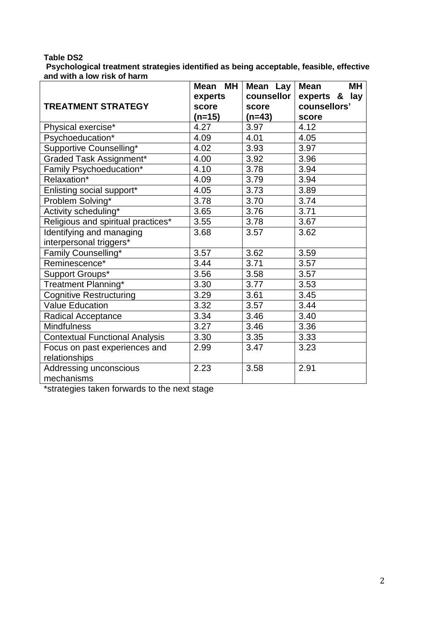## **Table DS2 Psychological treatment strategies identified as being acceptable, feasible, effective and with a low risk of harm**

|                                       | Mean MH          | Mean Lay         | <b>Mean</b><br><b>MH</b> |
|---------------------------------------|------------------|------------------|--------------------------|
|                                       | experts          | counsellor       | experts & lay            |
| <b>TREATMENT STRATEGY</b>             | score            | score            | counsellors'             |
|                                       | $(n=15)$<br>4.27 | $(n=43)$<br>3.97 | score<br>4.12            |
| Physical exercise*                    |                  |                  |                          |
| Psychoeducation*                      | 4.09             | 4.01             | 4.05                     |
| Supportive Counselling*               | 4.02             | 3.93             | 3.97                     |
| <b>Graded Task Assignment*</b>        | 4.00             | 3.92             | 3.96                     |
| Family Psychoeducation*               | 4.10             | 3.78             | 3.94                     |
| Relaxation*                           | 4.09             | 3.79             | 3.94                     |
| Enlisting social support*             | 4.05             | 3.73             | 3.89                     |
| Problem Solving*                      | 3.78             | 3.70             | 3.74                     |
| Activity scheduling*                  | 3.65             | 3.76             | 3.71                     |
| Religious and spiritual practices*    | 3.55             | 3.78             | 3.67                     |
| Identifying and managing              | 3.68             | 3.57             | 3.62                     |
| interpersonal triggers*               |                  |                  |                          |
| Family Counselling*                   | 3.57             | 3.62             | 3.59                     |
| Reminescence*                         | 3.44             | 3.71             | 3.57                     |
| Support Groups*                       | 3.56             | 3.58             | 3.57                     |
| Treatment Planning*                   | 3.30             | 3.77             | 3.53                     |
| <b>Cognitive Restructuring</b>        | 3.29             | 3.61             | 3.45                     |
| <b>Value Education</b>                | 3.32             | 3.57             | 3.44                     |
| <b>Radical Acceptance</b>             | 3.34             | 3.46             | 3.40                     |
| <b>Mindfulness</b>                    | 3.27             | 3.46             | 3.36                     |
| <b>Contextual Functional Analysis</b> | 3.30             | 3.35             | 3.33                     |
| Focus on past experiences and         | 2.99             | 3.47             | 3.23                     |
| relationships                         |                  |                  |                          |
| Addressing unconscious                | 2.23             | 3.58             | 2.91                     |
| mechanisms                            |                  |                  |                          |
|                                       |                  |                  |                          |

\*strategies taken forwards to the next stage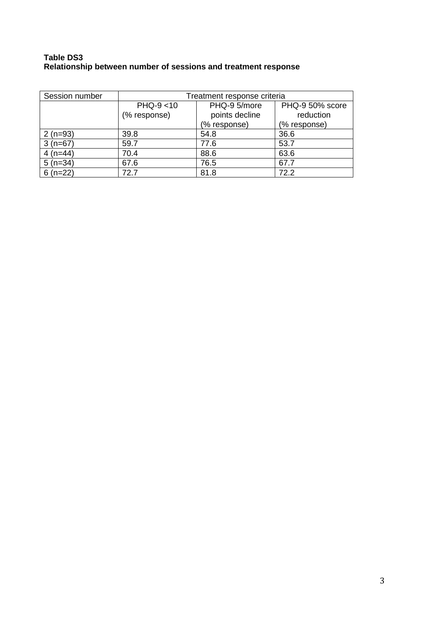## **Table DS3 Relationship between number of sessions and treatment response**

| Session number | Treatment response criteria  |                |                 |  |
|----------------|------------------------------|----------------|-----------------|--|
|                | PHQ-9 5/more<br>$PHQ-9 < 10$ |                | PHQ-9 50% score |  |
|                | (% response)                 | points decline | reduction       |  |
|                |                              | (% response)   | (% response)    |  |
| $2(n=93)$      | 39.8                         | 54.8           | 36.6            |  |
| $3(n=67)$      | 59.7                         | 77.6           | 53.7            |  |
| 4 $(n=44)$     | 70.4                         | 88.6           | 63.6            |  |
| $5(n=34)$      | 67.6                         | 76.5           | 67.7            |  |
| $6(n=22)$      | 72.7                         | 81.8           | 72.2            |  |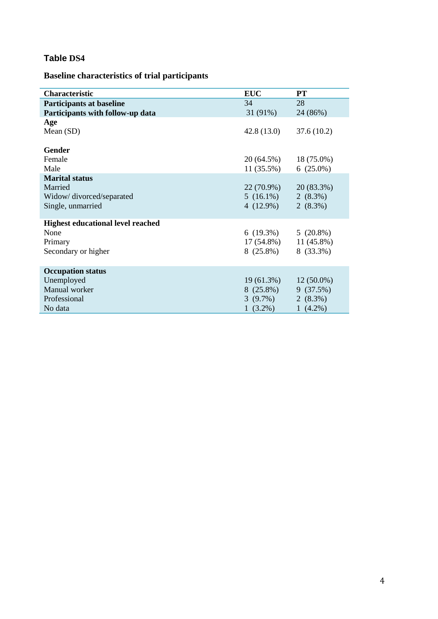## **Table DS4**

## **Baseline characteristics of trial participants**

| <b>Characteristic</b>                    | <b>EUC</b>   | <b>PT</b>    |
|------------------------------------------|--------------|--------------|
| <b>Participants at baseline</b>          | 34           | 28           |
| Participants with follow-up data         | 31 (91%)     | 24 (86%)     |
| Age                                      |              |              |
| Mean (SD)                                | 42.8(13.0)   | 37.6(10.2)   |
|                                          |              |              |
| <b>Gender</b>                            |              |              |
| Female                                   | 20 (64.5%)   | 18 (75.0%)   |
| Male                                     | $11(35.5\%)$ | $6(25.0\%)$  |
| <b>Marital status</b>                    |              |              |
| Married                                  | 22 (70.9%)   | 20 (83.3%)   |
| Widow/divorced/separated                 | $5(16.1\%)$  | $2(8.3\%)$   |
| Single, unmarried                        | $4(12.9\%)$  | $2(8.3\%)$   |
|                                          |              |              |
| <b>Highest educational level reached</b> |              |              |
| None                                     | 6(19.3%)     | $5(20.8\%)$  |
| Primary                                  | $17(54.8\%)$ | 11 (45.8%)   |
| Secondary or higher                      | 8 (25.8%)    | 8 (33.3%)    |
|                                          |              |              |
| <b>Occupation status</b>                 |              |              |
| Unemployed                               | $19(61.3\%)$ | $12(50.0\%)$ |
| Manual worker                            | $8(25.8\%)$  | 9(37.5%)     |
| Professional                             | $3(9.7\%)$   | $2(8.3\%)$   |
| No data                                  | $1(3.2\%)$   | $1(4.2\%)$   |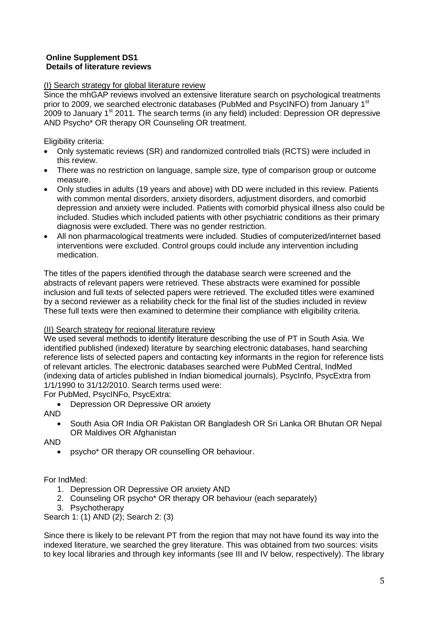## **Online Supplement DS1 Details of literature reviews**

## (I) Search strategy for global literature review

Since the mhGAP reviews involved an extensive literature search on psychological treatments prior to 2009, we searched electronic databases (PubMed and PsycINFO) from January 1<sup>st</sup> 2009 to January  $1<sup>st</sup>$  2011. The search terms (in any field) included: Depression OR depressive AND Psycho\* OR therapy OR Counseling OR treatment.

Eligibility criteria:

- Only systematic reviews (SR) and randomized controlled trials (RCTS) were included in this review.
- There was no restriction on language, sample size, type of comparison group or outcome measure.
- Only studies in adults (19 years and above) with DD were included in this review. Patients with common mental disorders, anxiety disorders, adjustment disorders, and comorbid depression and anxiety were included. Patients with comorbid physical illness also could be included. Studies which included patients with other psychiatric conditions as their primary diagnosis were excluded. There was no gender restriction.
- All non pharmacological treatments were included. Studies of computerized/internet based interventions were excluded. Control groups could include any intervention including medication.

The titles of the papers identified through the database search were screened and the abstracts of relevant papers were retrieved. These abstracts were examined for possible inclusion and full texts of selected papers were retrieved. The excluded titles were examined by a second reviewer as a reliability check for the final list of the studies included in review These full texts were then examined to determine their compliance with eligibility criteria.

## (II) Search strategy for regional literature review

We used several methods to identify literature describing the use of PT in South Asia. We identified published (indexed) literature by searching electronic databases, hand searching reference lists of selected papers and contacting key informants in the region for reference lists of relevant articles. The electronic databases searched were PubMed Central, IndMed (indexing data of articles published in Indian biomedical journals), PsycInfo, PsycExtra from 1/1/1990 to 31/12/2010. Search terms used were:

For PubMed, PsycINFo, PsycExtra:

• Depression OR Depressive OR anxiety

AND

• South Asia OR India OR Pakistan OR Bangladesh OR Sri Lanka OR Bhutan OR Nepal OR Maldives OR Afghanistan

AND

• psycho\* OR therapy OR counselling OR behaviour.

For IndMed:

- 1. Depression OR Depressive OR anxiety AND
- 2. Counseling OR psycho\* OR therapy OR behaviour (each separately)
- 3. Psychotherapy

Search 1: (1) AND (2); Search 2: (3)

Since there is likely to be relevant PT from the region that may not have found its way into the indexed literature, we searched the grey literature. This was obtained from two sources: visits to key local libraries and through key informants (see III and IV below, respectively). The library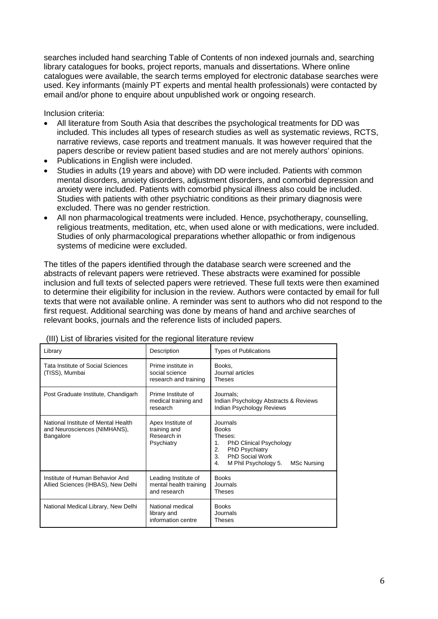searches included hand searching Table of Contents of non indexed journals and, searching library catalogues for books, project reports, manuals and dissertations. Where online catalogues were available, the search terms employed for electronic database searches were used. Key informants (mainly PT experts and mental health professionals) were contacted by email and/or phone to enquire about unpublished work or ongoing research.

Inclusion criteria:

- All literature from South Asia that describes the psychological treatments for DD was included. This includes all types of research studies as well as systematic reviews, RCTS, narrative reviews, case reports and treatment manuals. It was however required that the papers describe or review patient based studies and are not merely authors' opinions.
- Publications in English were included.
- Studies in adults (19 years and above) with DD were included. Patients with common mental disorders, anxiety disorders, adjustment disorders, and comorbid depression and anxiety were included. Patients with comorbid physical illness also could be included. Studies with patients with other psychiatric conditions as their primary diagnosis were excluded. There was no gender restriction.
- All non pharmacological treatments were included. Hence, psychotherapy, counselling, religious treatments, meditation, etc, when used alone or with medications, were included. Studies of only pharmacological preparations whether allopathic or from indigenous systems of medicine were excluded.

The titles of the papers identified through the database search were screened and the abstracts of relevant papers were retrieved. These abstracts were examined for possible inclusion and full texts of selected papers were retrieved. These full texts were then examined to determine their eligibility for inclusion in the review. Authors were contacted by email for full texts that were not available online. A reminder was sent to authors who did not respond to the first request. Additional searching was done by means of hand and archive searches of relevant books, journals and the reference lists of included papers.

| Library                                                                          | Description                                                    | <b>Types of Publications</b>                                                                                                                                                            |
|----------------------------------------------------------------------------------|----------------------------------------------------------------|-----------------------------------------------------------------------------------------------------------------------------------------------------------------------------------------|
| Tata Institute of Social Sciences<br>(TISS), Mumbai                              | Prime institute in<br>social science<br>research and training  | Books.<br>Journal articles<br>Theses                                                                                                                                                    |
| Post Graduate Institute, Chandigarh                                              | Prime Institute of<br>medical training and<br>research         | Journals:<br>Indian Psychology Abstracts & Reviews<br>Indian Psychology Reviews                                                                                                         |
| National Institute of Mental Health<br>and Neurosciences (NIMHANS),<br>Bangalore | Apex Institute of<br>training and<br>Research in<br>Psychiatry | Journals<br><b>Books</b><br>Theses:<br>PhD Clinical Psychology<br>1.<br>2.<br><b>PhD Psychiatry</b><br><b>PhD Social Work</b><br>3.<br>M Phil Psychology 5.<br>4.<br><b>MSc Nursing</b> |
| Institute of Human Behavior And<br>Allied Sciences (IHBAS), New Delhi            | Leading Institute of<br>mental health training<br>and research | <b>Books</b><br>Journals<br><b>Theses</b>                                                                                                                                               |
| National Medical Library, New Delhi                                              | National medical<br>library and<br>information centre          | <b>Books</b><br>Journals<br>Theses                                                                                                                                                      |

(III) List of libraries visited for the regional literature review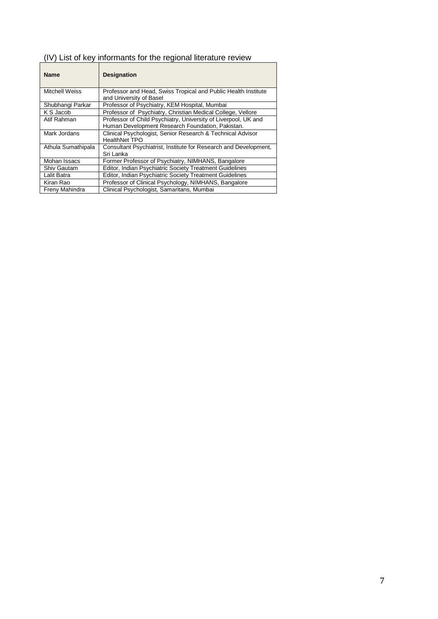|  |  | (IV) List of key informants for the regional literature review |
|--|--|----------------------------------------------------------------|
|  |  |                                                                |

| <b>Name</b>        | <b>Designation</b>                                                                                                 |
|--------------------|--------------------------------------------------------------------------------------------------------------------|
| Mitchell Weiss     | Professor and Head, Swiss Tropical and Public Health Institute<br>and University of Basel                          |
| Shubhangi Parkar   | Professor of Psychiatry, KEM Hospital, Mumbai                                                                      |
| K S Jacob          | Professor of Psychiatry, Christian Medical College, Vellore                                                        |
| Atif Rahman        | Professor of Child Psychiatry, University of Liverpool, UK and<br>Human Development Research Foundation, Pakistan. |
| Mark Jordans       | Clinical Psychologist, Senior Research & Technical Advisor<br>HealthNet TPO                                        |
| Athula Sumathipala | Consultant Psychiatrist, Institute for Research and Development,<br>Sri Lanka                                      |
| Mohan Issacs       | Former Professor of Psychiatry, NIMHANS, Bangalore                                                                 |
| Shiv Gautam        | Editor, Indian Psychiatric Society Treatment Guidelines                                                            |
| Lalit Batra        | Editor, Indian Psychiatric Society Treatment Guidelines                                                            |
| Kiran Rao          | Professor of Clinical Psychology, NIMHANS, Bangalore                                                               |
| Freny Mahindra     | Clinical Psychologist, Samaritans, Mumbai                                                                          |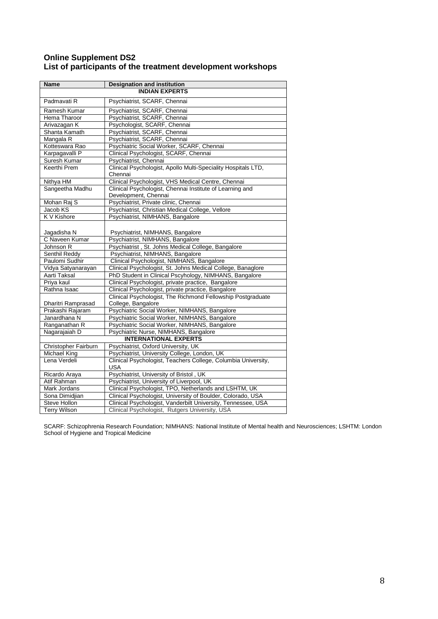## **Online Supplement DS2 List of participants of the treatment development workshops**

| Name<br>Designation and institution |                                                                                                              |  |  |
|-------------------------------------|--------------------------------------------------------------------------------------------------------------|--|--|
| <b>INDIAN EXPERTS</b>               |                                                                                                              |  |  |
| Padmavati R                         | Psychiatrist, SCARF, Chennai                                                                                 |  |  |
| Ramesh Kumar                        | Psychiatrist, SCARF, Chennai                                                                                 |  |  |
| Hema Tharoor                        | Psychiatrist, SCARF, Chennai                                                                                 |  |  |
| Arivazagan K                        | Psychologist, SCARF, Chennai                                                                                 |  |  |
| Shanta Kamath                       | Psychiatrist, SCARF, Chennai                                                                                 |  |  |
| Mangala R                           | Psychiatrist, SCARF, Chennai                                                                                 |  |  |
| Kotteswara Rao                      | Psychiatric Social Worker, SCARF, Chennai                                                                    |  |  |
| Karpagavalli P                      | Clinical Psychologist, SCARF, Chennai                                                                        |  |  |
| Suresh Kumar                        | Psychiatrist, Chennai                                                                                        |  |  |
| <b>Keerthi Prem</b>                 | Clinical Psychologist, Apollo Multi-Speciality Hospitals LTD,<br>Chennai                                     |  |  |
| Nithya HM                           | Clinical Psychologist, VHS Medical Centre, Chennai                                                           |  |  |
| Sangeetha Madhu                     | Clinical Psychologist, Chennai Institute of Learning and                                                     |  |  |
|                                     | Development, Chennai                                                                                         |  |  |
| Mohan Raj S                         | Psychiatrist, Private clinic, Chennai                                                                        |  |  |
| Jacob KS                            | Psychiatrist, Christian Medical College, Vellore                                                             |  |  |
| K V Kishore                         | Psychiatrist, NIMHANS, Bangalore                                                                             |  |  |
| Jagadisha N                         | Psychiatrist, NIMHANS, Bangalore                                                                             |  |  |
| C Naveen Kumar                      | Psychiatrist, NIMHANS, Bangalore                                                                             |  |  |
| Johnson R                           | Psychiatrist, St. Johns Medical College, Bangalore                                                           |  |  |
| Senthil Reddy                       | Psychiatrist, NIMHANS, Bangalore                                                                             |  |  |
| Paulomi Sudhir                      | Clinical Psychologist, NIMHANS, Bangalore                                                                    |  |  |
| Vidya Satyanarayan<br>Aarti Taksal  | Clinical Psychologist, St. Johns Medical College, Banaglore                                                  |  |  |
| Priya kaul                          | PhD Student in Clinical Pscyhology, NIMHANS, Bangalore<br>Clinical Psychologist, private practice, Bangalore |  |  |
| Rathna Isaac                        | Clinical Psychologist, private practice, Bangalore                                                           |  |  |
|                                     | Clinical Psychologist, The Richmond Fellowship Postgraduate                                                  |  |  |
| Dharitri Ramprasad                  | College, Bangalore                                                                                           |  |  |
| Prakashi Rajaram                    | Psychiatric Social Worker, NIMHANS, Bangalore                                                                |  |  |
| Janardhana N                        | Psychiatric Social Worker, NIMHANS, Bangalore                                                                |  |  |
| Ranganathan R                       | Psychiatric Social Worker, NIMHANS, Bangalore                                                                |  |  |
| Nagarajaiah D                       | Psychiatric Nurse, NIMHANS, Bangalore                                                                        |  |  |
|                                     | <b>INTERNATIONAL EXPERTS</b>                                                                                 |  |  |
| Christopher Fairburn                | Psychiatrist, Oxford University, UK                                                                          |  |  |
| <b>Michael King</b>                 | Psychiatrist, University College, London, UK                                                                 |  |  |
| Lena Verdeli                        | Clinical Psychologist, Teachers College, Columbia University,<br><b>USA</b>                                  |  |  |
| Ricardo Araya                       | Psychiatrist, University of Bristol, UK                                                                      |  |  |
| Atif Rahman                         | Psychiatrist, University of Liverpool, UK                                                                    |  |  |
| Mark Jordans                        | Clinical Psychologist, TPO, Netherlands and LSHTM, UK                                                        |  |  |
| Sona Dimidjian                      | Clinical Psychologist, University of Boulder, Colorado, USA                                                  |  |  |
| Steve Hollon                        | Clinical Psychologist, Vanderbilt University, Tennessee, USA                                                 |  |  |
| <b>Terry Wilson</b>                 | Clinical Psychologist, Rutgers University, USA                                                               |  |  |

SCARF: Schizophrenia Research Foundation; NIMHANS: National Institute of Mental health and Neurosciences; LSHTM: London School of Hygiene and Tropical Medicine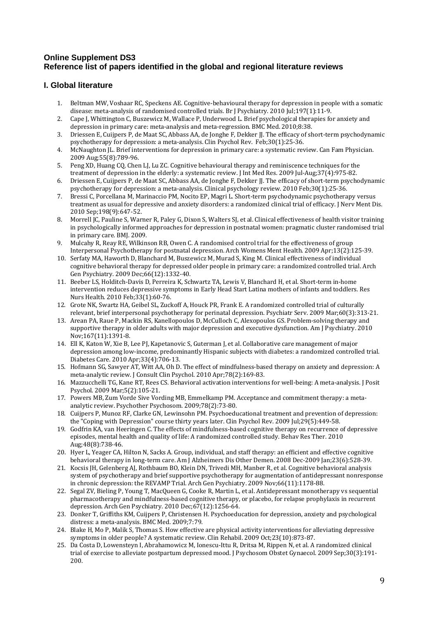## **Online Supplement DS3 Reference list of papers identified in the global and regional literature reviews**

### **I. Global literature**

- 1. Beltman MW, Voshaar RC, Speckens AE. Cognitive-behavioural therapy for depression in people with a somatic disease: meta-analysis of randomised controlled trials. Br J Psychiatry. 2010 Jul;197(1):11-9.
- 2. Cape J, Whittington C, Buszewicz M, Wallace P, Underwood L. Brief psychological therapies for anxiety and depression in primary care: meta-analysis and meta-regression. BMC Med. 2010;8:38.
- 3. Driessen E, Cuijpers P, de Maat SC, Abbass AA, de Jonghe F, Dekker JJ. The efficacy of short-term psychodynamic psychotherapy for depression: a meta-analysis. Clin Psychol Rev. Feb;30(1):25-36.
- 4. McNaughton JL. Brief interventions for depression in primary care: a systematic review. Can Fam Physician. 2009 Aug;55(8):789-96.
- 5. Peng XD, Huang CQ, Chen LJ, Lu ZC. Cognitive behavioural therapy and reminiscence techniques for the treatment of depression in the elderly: a systematic review. J Int Med Res. 2009 Jul-Aug;37(4):975-82.
- 6. Driessen E, Cuijpers P, de Maat SC, Abbass AA, de Jonghe F, Dekker JJ. The efficacy of short-term psychodynamic psychotherapy for depression: a meta-analysis. Clinical psychology review. 2010 Feb;30(1):25-36.
- 7. Bressi C, Porcellana M, Marinaccio PM, Nocito EP, Magri L. Short-term psychodynamic psychotherapy versus treatment as usual for depressive and anxiety disorders: a randomized clinical trial of efficacy. J Nerv Ment Dis. 2010 Sep;198(9):647-52.
- 8. Morrell JC, Pauline S, Warner R, Paley G, Dixon S, Walters SJ, et al. Clinical effectiveness of health visitor training in psychologically informed approaches for depression in postnatal women: pragmatic cluster randomised trial in primary care. BMJ. 2009.
- 9. Mulcahy R, Reay RE, Wilkinson RB, Owen C. A randomised control trial for the effectiveness of group Interpersonal Psychotherapy for postnatal depression. Arch Womens Ment Health. 2009 Apr;13(2):125-39.
- 10. Serfaty MA, Haworth D, Blanchard M, Buszewicz M, Murad S, King M. Clinical effectiveness of individual cognitive behavioral therapy for depressed older people in primary care: a randomized controlled trial. Arch Gen Psychiatry. 2009 Dec;66(12):1332-40.
- 11. Beeber LS, Holditch-Davis D, Perreira K, Schwartz TA, Lewis V, Blanchard H, et al. Short-term in-home intervention reduces depressive symptoms in Early Head Start Latina mothers of infants and toddlers. Res Nurs Health. 2010 Feb;33(1):60-76.
- 12. Grote NK, Swartz HA, Geibel SL, Zuckoff A, Houck PR, Frank E. A randomized controlled trial of culturally relevant, brief interpersonal psychotherapy for perinatal depression. Psychiatr Serv. 2009 Mar;60(3):313-21.
- 13. Arean PA, Raue P, Mackin RS, Kanellopoulos D, McCulloch C, Alexopoulos GS. Problem-solving therapy and supportive therapy in older adults with major depression and executive dysfunction. Am J Psychiatry. 2010 Nov;167(11):1391-8.
- 14. Ell K, Katon W, Xie B, Lee PJ, Kapetanovic S, Guterman J, et al. Collaborative care management of major depression among low-income, predominantly Hispanic subjects with diabetes: a randomized controlled trial. Diabetes Care. 2010 Apr;33(4):706-13.
- 15. Hofmann SG, Sawyer AT, Witt AA, Oh D. The effect of mindfulness-based therapy on anxiety and depression: A meta-analytic review. J Consult Clin Psychol. 2010 Apr;78(2):169-83.
- 16. Mazzucchelli TG, Kane RT, Rees CS. Behavioral activation interventions for well-being: A meta-analysis. J Posit Psychol. 2009 Mar;5(2):105-21.
- 17. Powers MB, Zum Vorde Sive Vording MB, Emmelkamp PM. Acceptance and commitment therapy: a metaanalytic review. Psychother Psychosom. 2009;78(2):73-80.
- 18. Cuijpers P, Munoz RF, Clarke GN, Lewinsohn PM. Psychoeducational treatment and prevention of depression: the "Coping with Depression" course thirty years later. Clin Psychol Rev. 2009 Jul;29(5):449-58.
- 19. Godfrin KA, van Heeringen C. The effects of mindfulness-based cognitive therapy on recurrence of depressive episodes, mental health and quality of life: A randomized controlled study. Behav Res Ther. 2010 Aug;48(8):738-46.
- 20. Hyer L, Yeager CA, Hilton N, Sacks A. Group, individual, and staff therapy: an efficient and effective cognitive behavioral therapy in long-term care. Am J Alzheimers Dis Other Demen. 2008 Dec-2009 Jan;23(6):528-39.
- 21. Kocsis JH, Gelenberg AJ, Rothbaum BO, Klein DN, Trivedi MH, Manber R, et al. Cognitive behavioral analysis system of psychotherapy and brief supportive psychotherapy for augmentation of antidepressant nonresponse in chronic depression: the REVAMP Trial. Arch Gen Psychiatry. 2009 Nov;66(11):1178-88.
- 22. Segal ZV, Bieling P, Young T, MacQueen G, Cooke R, Martin L, et al. Antidepressant monotherapy vs sequential pharmacotherapy and mindfulness-based cognitive therapy, or placebo, for relapse prophylaxis in recurrent depression. Arch Gen Psychiatry. 2010 Dec;67(12):1256-64.
- 23. Donker T, Griffiths KM, Cuijpers P, Christensen H. Psychoeducation for depression, anxiety and psychological distress: a meta-analysis. BMC Med. 2009;7:79.
- 24. Blake H, Mo P, Malik S, Thomas S. How effective are physical activity interventions for alleviating depressive symptoms in older people? A systematic review. Clin Rehabil. 2009 Oct;23(10):873-87.
- 25. Da Costa D, Lowensteyn I, Abrahamowicz M, Ionescu-Ittu R, Dritsa M, Rippen N, et al. A randomized clinical trial of exercise to alleviate postpartum depressed mood. J Psychosom Obstet Gynaecol. 2009 Sep;30(3):191- 200.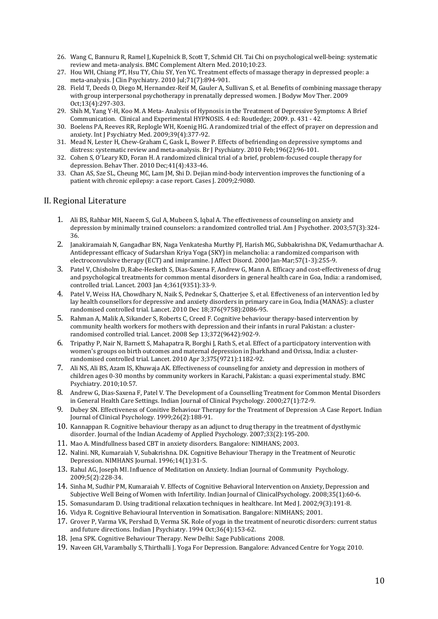- 26. Wang C, Bannuru R, Ramel J, Kupelnick B, Scott T, Schmid CH. Tai Chi on psychological well-being: systematic review and meta-analysis. BMC Complement Altern Med. 2010;10:23.
- 27. Hou WH, Chiang PT, Hsu TY, Chiu SY, Yen YC. Treatment effects of massage therapy in depressed people: a meta-analysis. J Clin Psychiatry. 2010 Jul;71(7):894-901.
- 28. Field T, Deeds O, Diego M, Hernandez-Reif M, Gauler A, Sullivan S, et al. Benefits of combining massage therapy with group interpersonal psychotherapy in prenatally depressed women. J Bodyw Mov Ther. 2009 Oct;13(4):297-303.
- 29. Shih M, Yang Y-H, Koo M. A Meta- Analysis of Hypnosis in the Treatment of Depressive Symptoms: A Brief Communication. Clinical and Experimental HYPNOSIS. 4 ed: Routledge; 2009. p. 431 - 42.
- 30. Boelens PA, Reeves RR, Replogle WH, Koenig HG. A randomized trial of the effect of prayer on depression and anxiety. Int J Psychiatry Med. 2009;39(4):377-92.
- 31. Mead N, Lester H, Chew-Graham C, Gask L, Bower P. Effects of befriending on depressive symptoms and distress: systematic review and meta-analysis. Br J Psychiatry. 2010 Feb;196(2):96-101.
- 32. Cohen S, O'Leary KD, Foran H. A randomized clinical trial of a brief, problem-focused couple therapy for depression. Behav Ther. 2010 Dec;41(4):433-46.
- 33. Chan AS, Sze SL, Cheung MC, Lam JM, Shi D. Dejian mind-body intervention improves the functioning of a patient with chronic epilepsy: a case report. Cases J. 2009;2:9080.

### II. Regional Literature

- 1. Ali BS, Rahbar MH, Naeem S, Gul A, Mubeen S, Iqbal A. The effectiveness of counseling on anxiety and depression by minimally trained counselors: a randomized controlled trial. Am J Psychother. 2003;57(3):324- 36.
- 2. Janakiramaiah N, Gangadhar BN, Naga Venkatesha Murthy PJ, Harish MG, Subbakrishna DK, Vedamurthachar A. Antidepressant efficacy of Sudarshan Kriya Yoga (SKY) in melancholia: a randomized comparison with electroconvulsive therapy (ECT) and imipramine. J Affect Disord. 2000 Jan-Mar;57(1-3):255-9.
- 3. Patel V, Chisholm D, Rabe-Hesketh S, Dias-Saxena F, Andrew G, Mann A. Efficacy and cost-effectiveness of drug and psychological treatments for common mental disorders in general health care in Goa, India: a randomised, controlled trial. Lancet. 2003 Jan 4;361(9351):33-9.
- 4. Patel V, Weiss HA, Chowdhary N, Naik S, Pednekar S, Chatterjee S, et al. Effectiveness of an intervention led by lay health counsellors for depressive and anxiety disorders in primary care in Goa, India (MANAS): a cluster randomised controlled trial. Lancet. 2010 Dec 18;376(9758):2086-95.
- 5. Rahman A, Malik A, Sikander S, Roberts C, Creed F. Cognitive behaviour therapy-based intervention by community health workers for mothers with depression and their infants in rural Pakistan: a clusterrandomised controlled trial. Lancet. 2008 Sep 13;372(9642):902-9.
- 6. Tripathy P, Nair N, Barnett S, Mahapatra R, Borghi J, Rath S, et al. Effect of a participatory intervention with women's groups on birth outcomes and maternal depression in Jharkhand and Orissa, India: a clusterrandomised controlled trial. Lancet. 2010 Apr 3;375(9721):1182-92.
- 7. Ali NS, Ali BS, Azam IS, Khuwaja AK. Effectiveness of counseling for anxiety and depression in mothers of children ages 0-30 months by community workers in Karachi, Pakistan: a quasi experimental study. BMC Psychiatry. 2010;10:57.
- 8. Andrew G, Dias-Saxena F, Patel V. The Development of a Counselling Treatment for Common Mental Disorders in General Health Care Settings. Indian Journal of Clinical Psychology. 2000;27(1):72-9.
- 9. Dubey SN. Effectiveness of Conitive Behaviour Therapy for the Treatment of Depression :A Case Report. Indian Journal of Clinical Psychology. 1999;26(2):188-91.
- 10. Kannappan R. Cognitive behaviour therapy as an adjunct to drug therapy in the treatment of dysthymic disorder. Journal of the Indian Academy of Applied Psychology. 2007;33(2):195-200.
- 11. Mao A. Mindfullness based CBT in anxiety disorders. Bangalore: NIMHANS; 2003.
- 12. Nalini. NR, Kumaraiah V, Subakrishna. DK. Cognitive Behaviour Therapy in the Treatment of Neurotic Depression. NIMHANS Journal. 1996;14(1):31-5.
- 13. Rahul AG, Joseph MI. Influence of Meditation on Anxiety. Indian Journal of Community Psychology. 2009;5(2):228-34.
- 14. Sinha M, Sudhir PM, Kumaraiah V. Effects of Cognitive Behavioral Intervention on Anxiety, Depression and Subjective Well Being of Women with Infertility. Indian Journal of ClinicalPsychology. 2008;35(1):60-6.
- 15. Somasundaram D. Using traditional relaxation techniques in healthcare. Int Med J. 2002;9(3):191-8.
- 16. Vidya R. Cognitive Behavioural Intervention in Somatisation. Bangalore: NIMHANS; 2001.
- 17. Grover P, Varma VK, Pershad D, Verma SK. Role of yoga in the treatment of neurotic disorders: current status and future directions. Indian J Psychiatry. 1994 Oct;36(4):153-62.
- 18. Jena SPK. Cognitive Behaviour Therapy. New Delhi: Sage Publications 2008.
- 19. Naveen GH, Varambally S, Thirthalli J. Yoga For Depression. Bangalore: Advanced Centre for Yoga; 2010.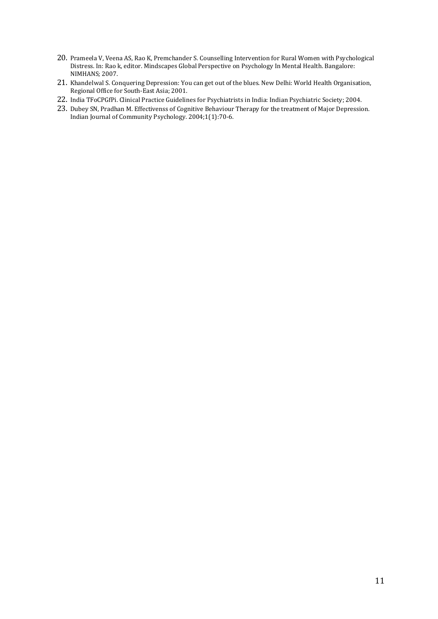- 20. Prameela V, Veena AS, Rao K, Premchander S. Counselling Intervention for Rural Women with Psychological Distress. In: Rao k, editor. Mindscapes Global Perspective on Psychology In Mental Health. Bangalore: NIMHANS; 2007.
- 21. Khandelwal S. Conquering Depression: You can get out of the blues. New Delhi: World Health Organisation, Regional Office for South-East Asia; 2001.
- 22. India TFoCPGfPi. Clinical Practice Guidelines for Psychiatrists in India: Indian Psychiatric Society; 2004.
- 23. Dubey SN, Pradhan M. Effectivenss of Cognitive Behaviour Therapy for the treatment of Major Depression. Indian Journal of Community Psychology. 2004;1(1):70-6.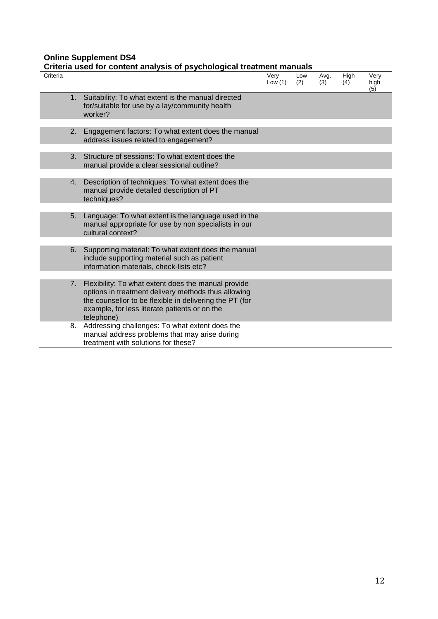## **Online Supplement DS4**

**Criteria used for content analysis of psychological treatment manuals**

| Criteria |                                                                                                                                                                                                                                         | Very<br>Low $(1)$ | Low<br>(2) | Avg.<br>(3) | High<br>(4) | $\bar{V}$ ery<br>high<br>(5) |
|----------|-----------------------------------------------------------------------------------------------------------------------------------------------------------------------------------------------------------------------------------------|-------------------|------------|-------------|-------------|------------------------------|
|          | 1. Suitability: To what extent is the manual directed<br>for/suitable for use by a lay/community health<br>worker?                                                                                                                      |                   |            |             |             |                              |
| 2.       | Engagement factors: To what extent does the manual<br>address issues related to engagement?                                                                                                                                             |                   |            |             |             |                              |
| 3.       | Structure of sessions: To what extent does the<br>manual provide a clear sessional outline?                                                                                                                                             |                   |            |             |             |                              |
| 4.       | Description of techniques: To what extent does the<br>manual provide detailed description of PT<br>techniques?                                                                                                                          |                   |            |             |             |                              |
| 5.       | Language: To what extent is the language used in the<br>manual appropriate for use by non specialists in our<br>cultural context?                                                                                                       |                   |            |             |             |                              |
| 6.       | Supporting material: To what extent does the manual<br>include supporting material such as patient<br>information materials, check-lists etc?                                                                                           |                   |            |             |             |                              |
|          | 7. Flexibility: To what extent does the manual provide<br>options in treatment delivery methods thus allowing<br>the counsellor to be flexible in delivering the PT (for<br>example, for less literate patients or on the<br>telephone) |                   |            |             |             |                              |
| 8.       | Addressing challenges: To what extent does the<br>manual address problems that may arise during<br>treatment with solutions for these?                                                                                                  |                   |            |             |             |                              |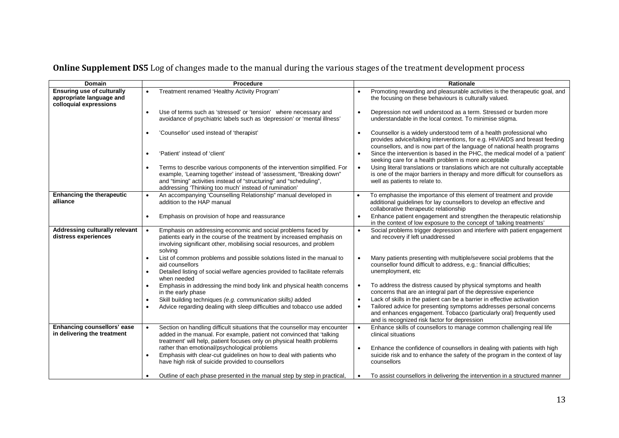**Online Supplement DS5** Log of changes made to the manual during the various stages of the treatment development process

| Domain                                                                                  | <b>Procedure</b>                                                                                                                                                                                                                                                                             | <b>Rationale</b>                                                                                                                                                                                                                                                                                |
|-----------------------------------------------------------------------------------------|----------------------------------------------------------------------------------------------------------------------------------------------------------------------------------------------------------------------------------------------------------------------------------------------|-------------------------------------------------------------------------------------------------------------------------------------------------------------------------------------------------------------------------------------------------------------------------------------------------|
| <b>Ensuring use of culturally</b><br>appropriate language and<br>colloquial expressions | Treatment renamed 'Healthy Activity Program'<br>$\bullet$                                                                                                                                                                                                                                    | Promoting rewarding and pleasurable activities is the therapeutic goal, and<br>$\bullet$<br>the focusing on these behaviours is culturally valued.                                                                                                                                              |
|                                                                                         | Use of terms such as 'stressed' or 'tension' where necessary and<br>$\bullet$<br>avoidance of psychiatric labels such as 'depression' or 'mental illness'                                                                                                                                    | Depression not well understood as a term. Stressed or burden more<br>$\bullet$<br>understandable in the local context. To minimise stigma.                                                                                                                                                      |
|                                                                                         | 'Counsellor' used instead of 'therapist'<br>$\bullet$                                                                                                                                                                                                                                        | Counsellor is a widely understood term of a health professional who<br>$\bullet$<br>provides advice/talking interventions, for e.g. HIV/AIDS and breast feeding<br>counsellors, and is now part of the language of national health programs                                                     |
|                                                                                         | 'Patient' instead of 'client'                                                                                                                                                                                                                                                                | Since the intervention is based in the PHC, the medical model of a 'patient'<br>$\bullet$<br>seeking care for a health problem is more acceptable                                                                                                                                               |
|                                                                                         | Terms to describe various components of the intervention simplified. For<br>$\bullet$<br>example, 'Learning together' instead of 'assessment, "Breaking down"<br>and "timing" activities instead of "structuring" and "scheduling",<br>addressing 'Thinking too much' instead of rumination' | Using literal translations or translations which are not culturally acceptable<br>$\bullet$<br>is one of the major barriers in therapy and more difficult for counsellors as<br>well as patients to relate to.                                                                                  |
| <b>Enhancing the therapeutic</b><br>alliance                                            | An accompanying 'Counselling Relationship" manual developed in<br>$\bullet$<br>addition to the HAP manual                                                                                                                                                                                    | To emphasise the importance of this element of treatment and provide<br>$\bullet$<br>additional guidelines for lay counsellors to develop an effective and<br>collaborative therapeutic relationship                                                                                            |
|                                                                                         | Emphasis on provision of hope and reassurance                                                                                                                                                                                                                                                | Enhance patient engagement and strengthen the therapeutic relationship<br>$\bullet$<br>in the context of low exposure to the concept of 'talking treatments'                                                                                                                                    |
| Addressing culturally relevant<br>distress experiences                                  | Emphasis on addressing economic and social problems faced by<br>$\bullet$<br>patients early in the course of the treatment by increased emphasis on<br>involving significant other, mobilising social resources, and problem<br>solving                                                      | Social problems trigger depression and interfere with patient engagement<br>$\bullet$<br>and recovery if left unaddressed                                                                                                                                                                       |
|                                                                                         | List of common problems and possible solutions listed in the manual to<br>aid counsellors<br>Detailed listing of social welfare agencies provided to facilitate referrals<br>$\bullet$                                                                                                       | Many patients presenting with multiple/severe social problems that the<br>$\bullet$<br>counsellor found difficult to address, e.g.: financial difficulties;<br>unemployment, etc                                                                                                                |
|                                                                                         | when needed<br>Emphasis in addressing the mind body link and physical health concerns<br>$\bullet$<br>in the early phase                                                                                                                                                                     | To address the distress caused by physical symptoms and health<br>$\bullet$<br>concerns that are an integral part of the depressive experience                                                                                                                                                  |
|                                                                                         | Skill building techniques (e.g. communication skills) added<br>$\bullet$<br>Advice regarding dealing with sleep difficulties and tobacco use added                                                                                                                                           | $\bullet$<br>Lack of skills in the patient can be a barrier in effective activation<br>Tailored advice for presenting symptoms addresses personal concerns<br>$\bullet$<br>and enhances engagement. Tobacco (particularly oral) frequently used<br>and is recognized risk factor for depression |
| Enhancing counsellors' ease<br>in delivering the treatment                              | Section on handling difficult situations that the counsellor may encounter<br>$\bullet$<br>added in the manual. For example, patient not convinced that 'talking<br>treatment' will help, patient focuses only on physical health problems                                                   | Enhance skills of counsellors to manage common challenging real life<br>$\bullet$<br>clinical situations                                                                                                                                                                                        |
|                                                                                         | rather than emotional/psychological problems<br>Emphasis with clear-cut guidelines on how to deal with patients who<br>have high risk of suicide provided to counsellors                                                                                                                     | Enhance the confidence of counsellors in dealing with patients with high<br>$\bullet$<br>suicide risk and to enhance the safety of the program in the context of lay<br>counsellors                                                                                                             |
|                                                                                         | Outline of each phase presented in the manual step by step in practical.                                                                                                                                                                                                                     | To assist counsellors in delivering the intervention in a structured manner<br>$\bullet$                                                                                                                                                                                                        |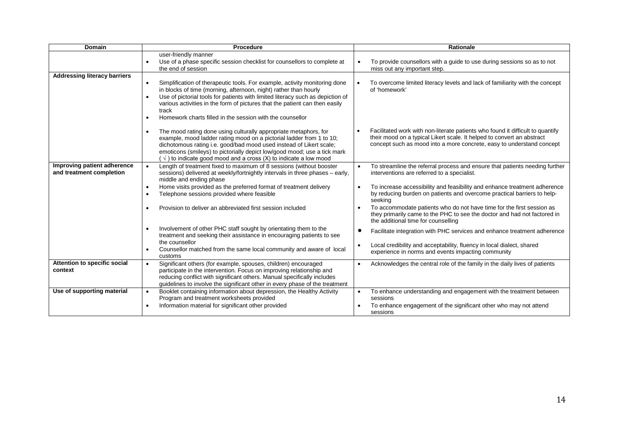| <b>Domain</b>                                           | Procedure                                                                                                                                                                                                                                                                                                                                                                                                       |           | <b>Rationale</b>                                                                                                                                                                                                                  |
|---------------------------------------------------------|-----------------------------------------------------------------------------------------------------------------------------------------------------------------------------------------------------------------------------------------------------------------------------------------------------------------------------------------------------------------------------------------------------------------|-----------|-----------------------------------------------------------------------------------------------------------------------------------------------------------------------------------------------------------------------------------|
|                                                         | user-friendly manner<br>Use of a phase specific session checklist for counsellors to complete at<br>$\bullet$<br>the end of session                                                                                                                                                                                                                                                                             | $\bullet$ | To provide counsellors with a guide to use during sessions so as to not<br>miss out any important step.                                                                                                                           |
| <b>Addressing literacy barriers</b>                     | Simplification of therapeutic tools. For example, activity monitoring done<br>$\bullet$<br>in blocks of time (morning, afternoon, night) rather than hourly<br>Use of pictorial tools for patients with limited literacy such as depiction of<br>$\bullet$<br>various activities in the form of pictures that the patient can then easily<br>track<br>Homework charts filled in the session with the counsellor | $\bullet$ | To overcome limited literacy levels and lack of familiarity with the concept<br>of 'homework'                                                                                                                                     |
|                                                         | The mood rating done using culturally appropriate metaphors, for<br>$\bullet$<br>example, mood ladder rating mood on a pictorial ladder from 1 to 10;<br>dichotomous rating i.e. good/bad mood used instead of Likert scale;<br>emoticons (smileys) to pictorially depict low/good mood; use a tick mark<br>( $\sqrt{ }$ ) to indicate good mood and a cross (X) to indicate a low mood                         | $\bullet$ | Facilitated work with non-literate patients who found it difficult to quantify<br>their mood on a typical Likert scale. It helped to convert an abstract<br>concept such as mood into a more concrete, easy to understand concept |
| Improving patient adherence<br>and treatment completion | Length of treatment fixed to maximum of 8 sessions (without booster<br>$\bullet$<br>sessions) delivered at weekly/fortnightly intervals in three phases – early,<br>middle and ending phase                                                                                                                                                                                                                     |           | To streamline the referral process and ensure that patients needing further<br>interventions are referred to a specialist.                                                                                                        |
|                                                         | Home visits provided as the preferred format of treatment delivery<br>$\bullet$<br>Telephone sessions provided where feasible<br>$\bullet$                                                                                                                                                                                                                                                                      |           | To increase accessibility and feasibility and enhance treatment adherence<br>by reducing burden on patients and overcome practical barriers to help-<br>seeking                                                                   |
|                                                         | Provision to deliver an abbreviated first session included                                                                                                                                                                                                                                                                                                                                                      | $\bullet$ | To accommodate patients who do not have time for the first session as<br>they primarily came to the PHC to see the doctor and had not factored in<br>the additional time for counselling                                          |
|                                                         | Involvement of other PHC staff sought by orientating them to the<br>treatment and seeking their assistance in encouraging patients to see                                                                                                                                                                                                                                                                       | $\bullet$ | Facilitate integration with PHC services and enhance treatment adherence                                                                                                                                                          |
|                                                         | the counsellor<br>Counsellor matched from the same local community and aware of local<br>$\bullet$<br>customs                                                                                                                                                                                                                                                                                                   | $\bullet$ | Local credibility and acceptability, fluency in local dialect, shared<br>experience in norms and events impacting community                                                                                                       |
| Attention to specific social<br>context                 | Significant others (for example, spouses, children) encouraged<br>$\bullet$<br>participate in the intervention. Focus on improving relationship and<br>reducing conflict with significant others. Manual specifically includes<br>guidelines to involve the significant other in every phase of the treatment                                                                                                   | $\bullet$ | Acknowledges the central role of the family in the daily lives of patients                                                                                                                                                        |
| Use of supporting material                              | Booklet containing information about depression, the Healthy Activity<br>$\bullet$<br>Program and treatment worksheets provided                                                                                                                                                                                                                                                                                 | $\bullet$ | To enhance understanding and engagement with the treatment between<br>sessions                                                                                                                                                    |
|                                                         | Information material for significant other provided<br>$\bullet$                                                                                                                                                                                                                                                                                                                                                |           | To enhance engagement of the significant other who may not attend<br>sessions                                                                                                                                                     |